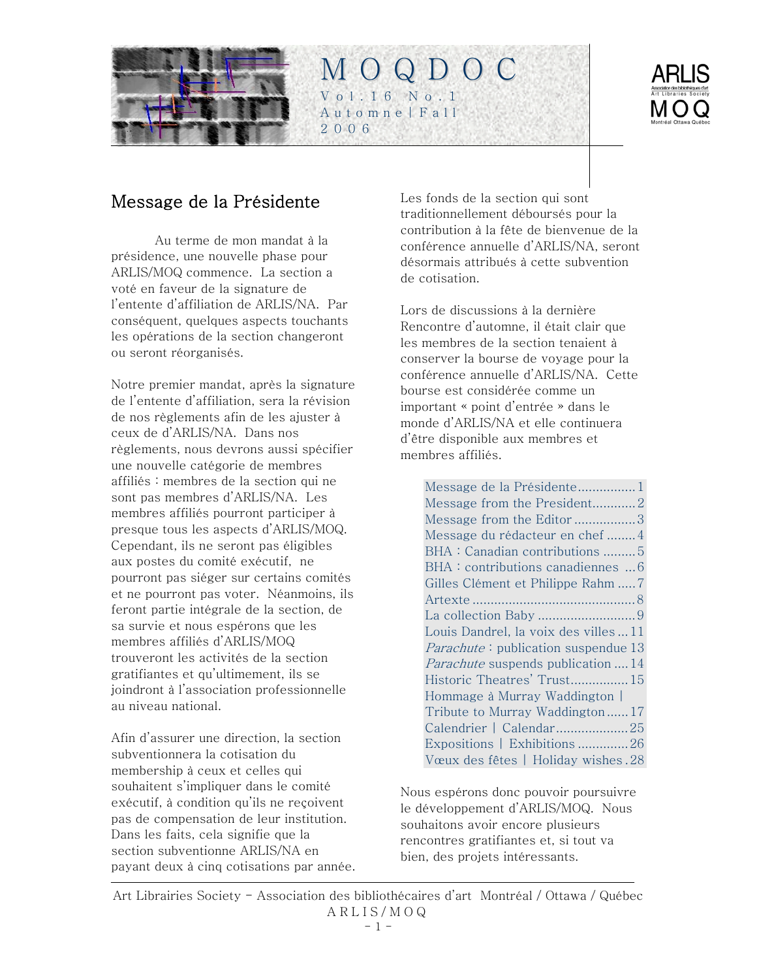<span id="page-0-0"></span>



# Message de la Présidente

Au terme de mon mandat à la présidence, une nouvelle phase pour ARLIS/MOQ commence. La section a voté en faveur de la signature de l'entente d'affiliation de ARLIS/NA. Par conséquent, quelques aspects touchants les opérations de la section changeront ou seront réorganisés.

Notre premier mandat, après la signature de l'entente d'affiliation, sera la révision de nos règlements afin de les ajuster à ceux de d'ARLIS/NA. Dans nos règlements, nous devrons aussi spécifier une nouvelle catégorie de membres affiliés : membres de la section qui ne sont pas membres d'ARLIS/NA. Les membres affiliés pourront participer à presque tous les aspects d'ARLIS/MOQ. Cependant, ils ne seront pas éligibles aux postes du comité exécutif, ne pourront pas siéger sur certains comités et ne pourront pas voter. Néanmoins, ils feront partie intégrale de la section, de sa survie et nous espérons que les membres affiliés d'ARLIS/MOQ trouveront les activités de la section gratifiantes et qu'ultimement, ils se joindront à l'association professionnelle au niveau national.

Afin d'assurer une direction, la section subventionnera la cotisation du membership à ceux et celles qui souhaitent s'impliquer dans le comité exécutif, à condition qu'ils ne reçoivent pas de compensation de leur institution. Dans les faits, cela signifie que la section subventionne ARLIS/NA en payant deux à cinq cotisations par année. Les fonds de la section qui sont traditionnellement déboursés pour la contribution à la fête de bienvenue de la conférence annuelle d'ARLIS/NA, seront désormais attribués à cette subvention de cotisation.

Lors de discussions à la dernière Rencontre d'automne, il était clair que les membres de la section tenaient à conserver la bourse de voyage pour la conférence annuelle d'ARLIS/NA. Cette bourse est considérée comme un important « point d'entrée » dans le monde d'ARLIS/NA et elle continuera d'être disponible aux membres et membres affiliés.

[Message de la Présidente................1](#page-0-0) [Message from the President............2](#page-1-0) [Message from the Editor](#page-2-0) .................3 [Message du rédacteur en chef](#page-3-0) ........4 [BHA : Canadian contributions](#page-4-0) .........5 [BHA : contributions canadiennes ...6](#page-5-0) [Gilles Clément et Philippe Rahm](#page-6-0) .....7 Artexte [.............................................8](#page-7-0) [La collection Baby](#page-8-0) .................................9 [Louis Dandrel, la voix des villes ...11](#page-10-0) Parachute[: publication suspendue](#page-12-0) 13 Parachute [suspends publication](#page-13-0) ....14 [Historic Theatres' Trust................15](#page-14-0) [Hommage à Murray Waddington |](#page-16-0)  [Tribute to Murray Waddington](#page-16-0) ......17 Calendrier | Calendar......................25 [Expositions | Exhibitions](#page-25-0) ..............26 Vœux des fêtes | Holiday wishes .28

Nous espérons donc pouvoir poursuivre le développement d'ARLIS/MOQ. Nous souhaitons avoir encore plusieurs rencontres gratifiantes et, si tout va bien, des projets intéressants.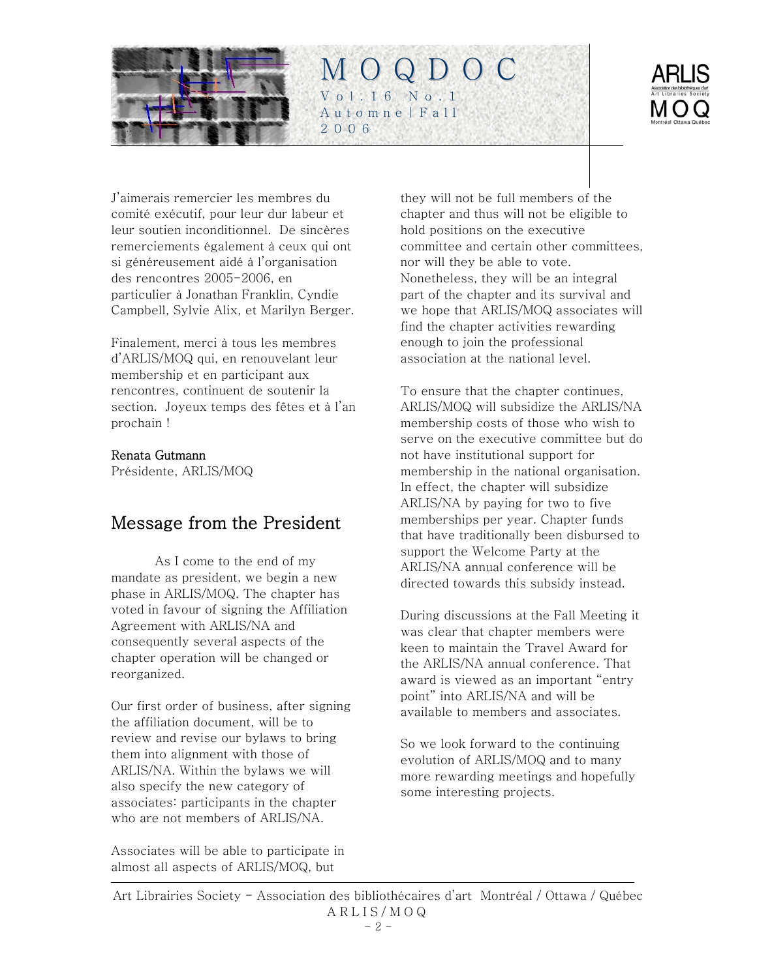<span id="page-1-0"></span>



J'aimerais remercier les membres du comité exécutif, pour leur dur labeur et leur soutien inconditionnel. De sincères remerciements également à ceux qui ont si généreusement aidé à l'organisation des rencontres 2005-2006, en particulier à Jonathan Franklin, Cyndie Campbell, Sylvie Alix, et Marilyn Berger.

Finalement, merci à tous les membres d'ARLIS/MOQ qui, en renouvelant leur membership et en participant aux rencontres, continuent de soutenir la section. Joyeux temps des fêtes et à l'an prochain !

#### Renata Gutmann

Présidente, ARLIS/MOQ

# Message from the President

As I come to the end of my mandate as president, we begin a new phase in ARLIS/MOQ. The chapter has voted in favour of signing the Affiliation Agreement with ARLIS/NA and consequently several aspects of the chapter operation will be changed or reorganized.

Our first order of business, after signing the affiliation document, will be to review and revise our bylaws to bring them into alignment with those of ARLIS/NA. Within the bylaws we will also specify the new category of associates: participants in the chapter who are not members of ARLIS/NA.

Associates will be able to participate in almost all aspects of ARLIS/MOQ, but

they will not be full members of the chapter and thus will not be eligible to hold positions on the executive committee and certain other committees, nor will they be able to vote. Nonetheless, they will be an integral part of the chapter and its survival and we hope that ARLIS/MOQ associates will find the chapter activities rewarding enough to join the professional association at the national level.

To ensure that the chapter continues, ARLIS/MOQ will subsidize the ARLIS/NA membership costs of those who wish to serve on the executive committee but do not have institutional support for membership in the national organisation. In effect, the chapter will subsidize ARLIS/NA by paying for two to five memberships per year. Chapter funds that have traditionally been disbursed to support the Welcome Party at the ARLIS/NA annual conference will be directed towards this subsidy instead.

During discussions at the Fall Meeting it was clear that chapter members were keen to maintain the Travel Award for the ARLIS/NA annual conference. That award is viewed as an important "entry point" into ARLIS/NA and will be available to members and associates.

So we look forward to the continuing evolution of ARLIS/MOQ and to many more rewarding meetings and hopefully some interesting projects.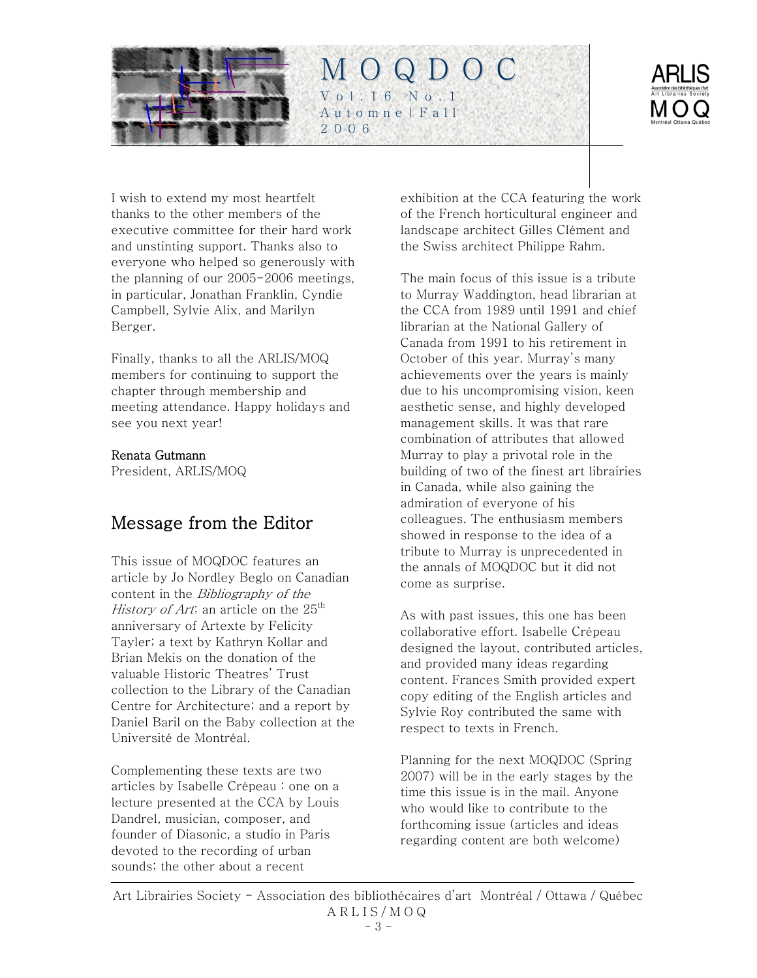<span id="page-2-0"></span>



I wish to extend my most heartfelt thanks to the other members of the executive committee for their hard work and unstinting support. Thanks also to everyone who helped so generously with the planning of our 2005-2006 meetings, in particular, Jonathan Franklin, Cyndie Campbell, Sylvie Alix, and Marilyn Berger.

Finally, thanks to all the ARLIS/MOQ members for continuing to support the chapter through membership and meeting attendance. Happy holidays and see you next year!

#### Renata Gutmann

President, ARLIS/MOQ

# Message from the Editor

This issue of MOQDOC features an article by Jo Nordley Beglo on Canadian content in the Bibliography of the History of Art; an article on the  $25<sup>th</sup>$ anniversary of Artexte by Felicity Tayler; a text by Kathryn Kollar and Brian Mekis on the donation of the valuable Historic Theatres' Trust collection to the Library of the Canadian Centre for Architecture; and a report by Daniel Baril on the Baby collection at the Université de Montréal.

Complementing these texts are two articles by Isabelle Crépeau : one on a lecture presented at the CCA by Louis Dandrel, musician, composer, and founder of Diasonic, a studio in Paris devoted to the recording of urban sounds; the other about a recent

exhibition at the CCA featuring the work of the French horticultural engineer and landscape architect Gilles Clément and the Swiss architect Philippe Rahm.

The main focus of this issue is a tribute to Murray Waddington, head librarian at the CCA from 1989 until 1991 and chief librarian at the National Gallery of Canada from 1991 to his retirement in October of this year. Murray's many achievements over the years is mainly due to his uncompromising vision, keen aesthetic sense, and highly developed management skills. It was that rare combination of attributes that allowed Murray to play a privotal role in the building of two of the finest art librairies in Canada, while also gaining the admiration of everyone of his colleagues. The enthusiasm members showed in response to the idea of a tribute to Murray is unprecedented in the annals of MOQDOC but it did not come as surprise.

As with past issues, this one has been collaborative effort. Isabelle Crépeau designed the layout, contributed articles, and provided many ideas regarding content. Frances Smith provided expert copy editing of the English articles and Sylvie Roy contributed the same with respect to texts in French.

Planning for the next MOQDOC (Spring 2007) will be in the early stages by the time this issue is in the mail. Anyone who would like to contribute to the forthcoming issue (articles and ideas regarding content are both welcome)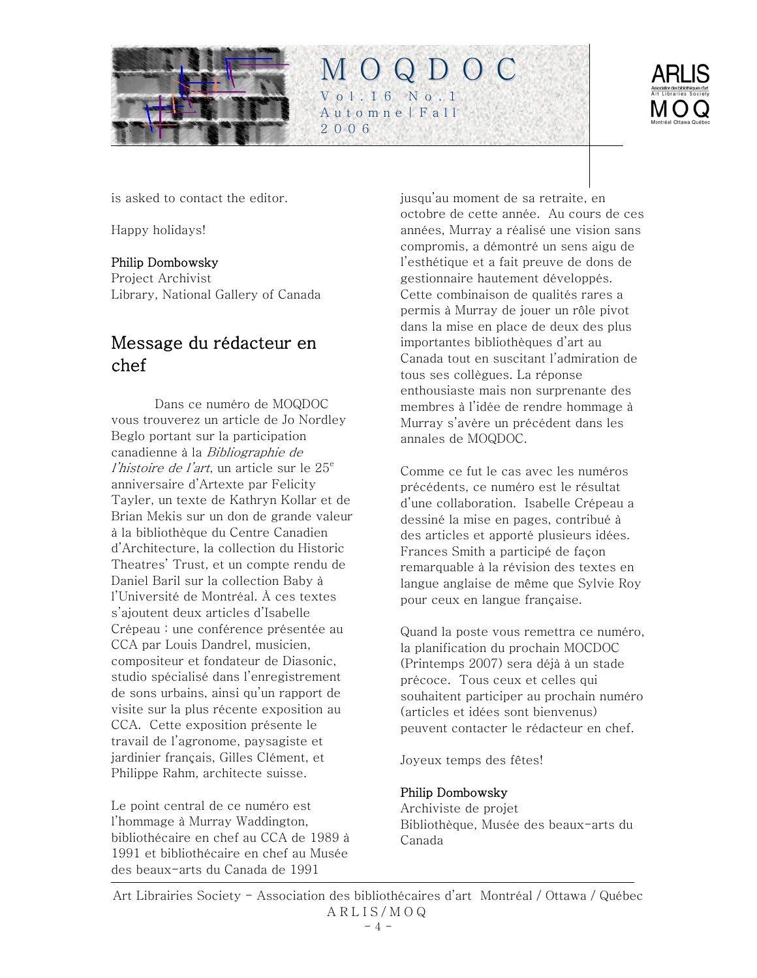<span id="page-3-0"></span>



is asked to contact the editor.

Happy holidays!

### Philip Dombowsky

Project Archivist Library, National Gallery of Canada

# Message du rédacteur en chef

Dans ce numéro de MOQDOC vous trouverez un article de Jo Nordley Beglo portant sur la participation canadienne à la Bibliographie de l'histoire de l'art, un article sur le  $25<sup>e</sup>$ anniversaire d'Artexte par Felicity Tayler, un texte de Kathryn Kollar et de Brian Mekis sur un don de grande valeur à la bibliothèque du Centre Canadien d'Architecture, la collection du Historic Theatres' Trust, et un compte rendu de Daniel Baril sur la collection Baby à l'Université de Montréal. À ces textes s'ajoutent deux articles d'Isabelle Crépeau : une conférence présentée au CCA par Louis Dandrel, musicien, compositeur et fondateur de Diasonic, studio spécialisé dans l'enregistrement de sons urbains, ainsi qu'un rapport de visite sur la plus récente exposition au CCA. Cette exposition présente le travail de l'agronome, paysagiste et jardinier français, Gilles Clément, et Philippe Rahm, architecte suisse.

Le point central de ce numéro est l'hommage à Murray Waddington, bibliothécaire en chef au CCA de 1989 à 1991 et bibliothécaire en chef au Musée des beaux-arts du Canada de 1991

jusqu'au moment de sa retraite, en octobre de cette année. Au cours de ces années, Murray a réalisé une vision sans compromis, a démontré un sens aigu de l'esthétique et a fait preuve de dons de gestionnaire hautement développés. Cette combinaison de qualités rares a permis à Murray de jouer un rôle pivot dans la mise en place de deux des plus importantes bibliothèques d'art au Canada tout en suscitant l'admiration de tous ses collègues. La réponse enthousiaste mais non surprenante des membres à l'idée de rendre hommage à Murray s'avère un précédent dans les annales de MOQDOC.

Comme ce fut le cas avec les numéros précédents, ce numéro est le résultat d'une collaboration. Isabelle Crépeau a dessiné la mise en pages, contribué à des articles et apporté plusieurs idées. Frances Smith a participé de façon remarquable à la révision des textes en langue anglaise de même que Sylvie Roy pour ceux en langue française.

Quand la poste vous remettra ce numéro, la planification du prochain MOCDOC (Printemps 2007) sera déjà à un stade précoce. Tous ceux et celles qui souhaitent participer au prochain numéro (articles et idées sont bienvenus) peuvent contacter le rédacteur en chef.

Joyeux temps des fêtes!

### Philip Dombowsky

Archiviste de projet Bibliothèque, Musée des beaux-arts du Canada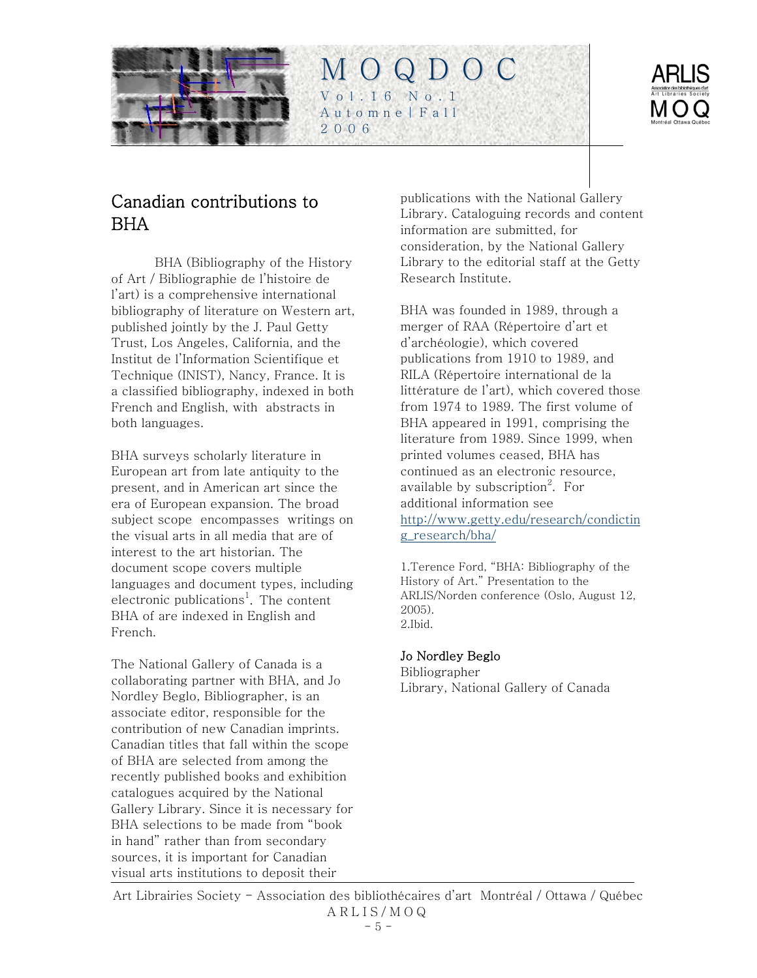<span id="page-4-0"></span>

# Canadian contributions to BHA

BHA (Bibliography of the History of Art / Bibliographie de l'histoire de l'art) is a comprehensive international bibliography of literature on Western art, published jointly by the J. Paul Getty Trust, Los Angeles, California, and the Institut de l'Information Scientifique et Technique (INIST), Nancy, France. It is a classified bibliography, indexed in both French and English, with abstracts in both languages.

BHA surveys scholarly literature in European art from late antiquity to the present, and in American art since the era of European expansion. The broad subject scope encompasses writings on the visual arts in all media that are of interest to the art historian. The document scope covers multiple languages and document types, including electronic publications<sup>1</sup>. The content BHA of are indexed in English and French.

The National Gallery of Canada is a collaborating partner with BHA, and Jo Nordley Beglo, Bibliographer, is an associate editor, responsible for the contribution of new Canadian imprints. Canadian titles that fall within the scope of BHA are selected from among the recently published books and exhibition catalogues acquired by the National Gallery Library. Since it is necessary for BHA selections to be made from "book in hand" rather than from secondary sources, it is important for Canadian visual arts institutions to deposit their

publications with the National Gallery Library. Cataloguing records and content information are submitted, for consideration, by the National Gallery Library to the editorial staff at the Getty Research Institute.

M O Q D O C

Vol.16 No.1 Automne|Fall

2006

BHA was founded in 1989, through a merger of RAA (Répertoire d'art et d'archéologie), which covered publications from 1910 to 1989, and RILA (Répertoire international de la littérature de l'art), which covered those from 1974 to 1989. The first volume of BHA appeared in 1991, comprising the literature from 1989. Since 1999, when printed volumes ceased, BHA has continued as an electronic resource, available by subscription $^2$ . For additional information see [http://www.getty.edu/research/condictin](http://www.getty.edu/research/condicting_research/bha/) [g\\_research/bha/](http://www.getty.edu/research/condicting_research/bha/)

1.Terence Ford, "BHA: Bibliography of the History of Art." Presentation to the ARLIS/Norden conference (Oslo, August 12, 2005). 2.Ibid.

#### Jo Nordley Beglo

Bibliographer Library, National Gallery of Canada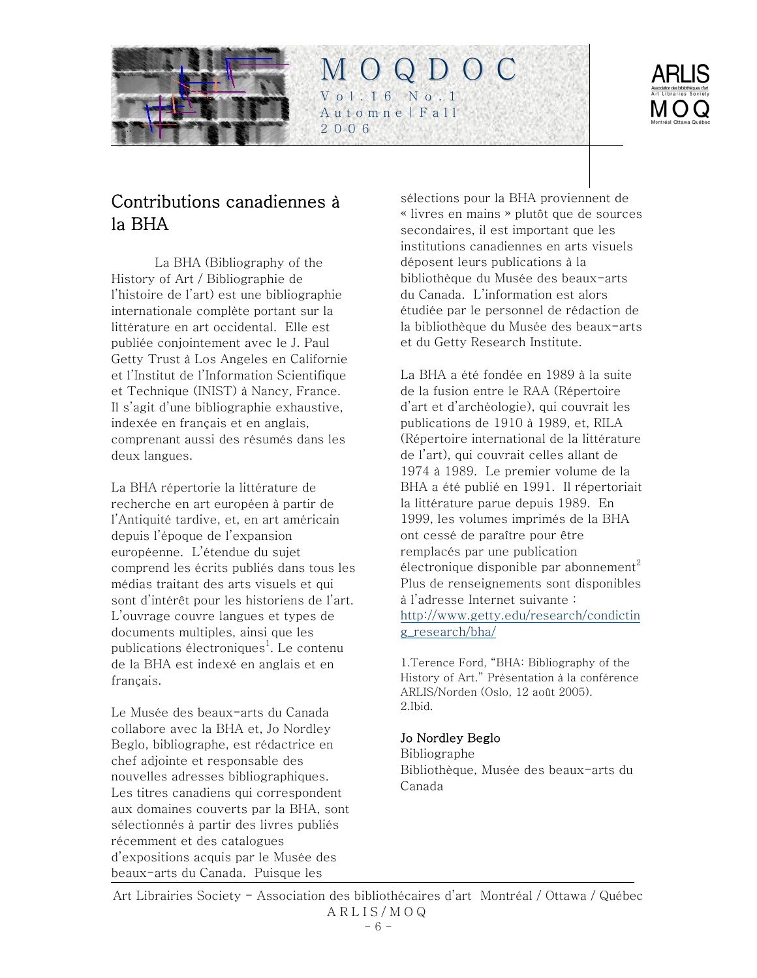<span id="page-5-0"></span>



# Contributions canadiennes à la BHA

La BHA (Bibliography of the History of Art / Bibliographie de l'histoire de l'art) est une bibliographie internationale complète portant sur la littérature en art occidental. Elle est publiée conjointement avec le J. Paul Getty Trust à Los Angeles en Californie et l'Institut de l'Information Scientifique et Technique (INIST) à Nancy, France. Il s'agit d'une bibliographie exhaustive, indexée en français et en anglais, comprenant aussi des résumés dans les deux langues.

La BHA répertorie la littérature de recherche en art européen à partir de l'Antiquité tardive, et, en art américain depuis l'époque de l'expansion européenne. L'étendue du sujet comprend les écrits publiés dans tous les médias traitant des arts visuels et qui sont d'intérêt pour les historiens de l'art. L'ouvrage couvre langues et types de documents multiples, ainsi que les publications électroniques<sup>1</sup>. Le contenu de la BHA est indexé en anglais et en français.

Le Musée des beaux-arts du Canada collabore avec la BHA et, Jo Nordley Beglo, bibliographe, est rédactrice en chef adjointe et responsable des nouvelles adresses bibliographiques. Les titres canadiens qui correspondent aux domaines couverts par la BHA, sont sélectionnés à partir des livres publiés récemment et des catalogues d'expositions acquis par le Musée des beaux-arts du Canada. Puisque les

sélections pour la BHA proviennent de « livres en mains » plutôt que de sources secondaires, il est important que les institutions canadiennes en arts visuels déposent leurs publications à la bibliothèque du Musée des beaux-arts du Canada. L'information est alors étudiée par le personnel de rédaction de la bibliothèque du Musée des beaux-arts et du Getty Research Institute.

M O Q D O C

Vol.16 No.1 Automne|Fall

2006

La BHA a été fondée en 1989 à la suite de la fusion entre le RAA (Répertoire d'art et d'archéologie), qui couvrait les publications de 1910 à 1989, et, RILA (Répertoire international de la littérature de l'art), qui couvrait celles allant de 1974 à 1989. Le premier volume de la BHA a été publié en 1991. Il répertoriait la littérature parue depuis 1989. En 1999, les volumes imprimés de la BHA ont cessé de paraître pour être remplacés par une publication électronique disponible par abonnement<sup>2</sup> Plus de renseignements sont disponibles à l'adresse Internet suivante : [http://www.getty.edu/research/condictin](http://www.getty.edu/research/condicting_research/bha/) [g\\_research/bha/](http://www.getty.edu/research/condicting_research/bha/)

1.Terence Ford, "BHA: Bibliography of the History of Art." Présentation à la conférence ARLIS/Norden (Oslo, 12 août 2005). 2.Ibid.

### Jo Nordley Beglo

Bibliographe Bibliothèque, Musée des beaux-arts du Canada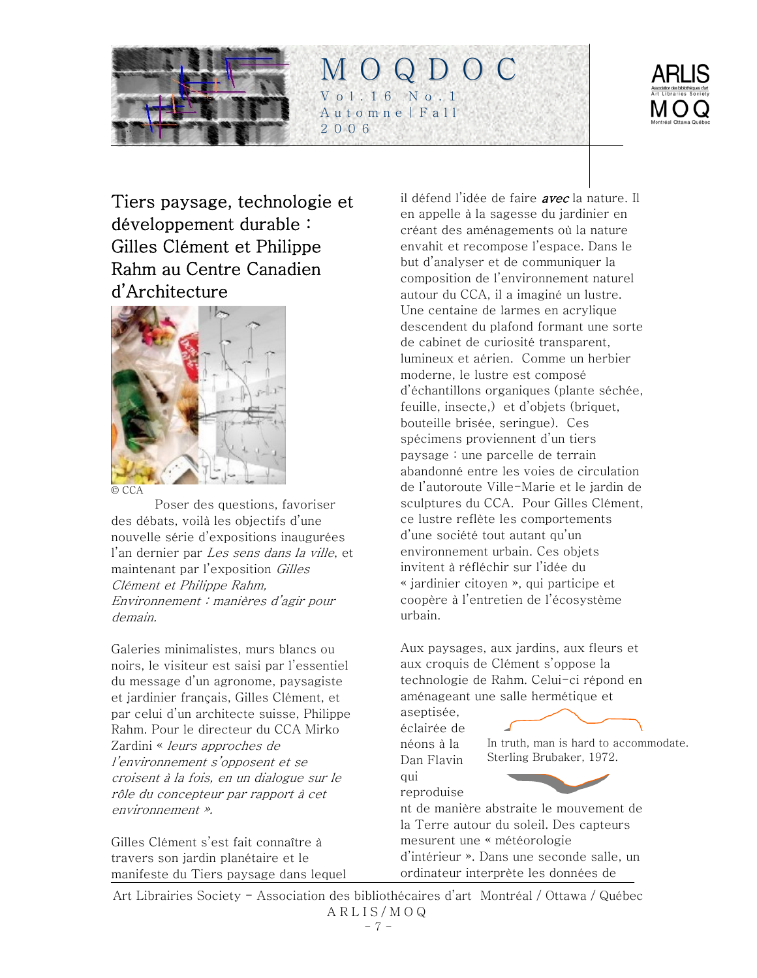<span id="page-6-0"></span>



Tiers paysage, technologie et développement durable : Gilles Clément et Philippe Rahm au Centre Canadien d'Architecture



Poser des questions, favoriser des débats, voilà les objectifs d'une nouvelle série d'expositions inaugurées l'an dernier par Les sens dans la ville, et maintenant par l'exposition Gilles Clément et Philippe Rahm, Environnement : manières d'agir pour demain.

Galeries minimalistes, murs blancs ou noirs, le visiteur est saisi par l'essentiel du message d'un agronome, paysagiste et jardinier français, Gilles Clément, et par celui d'un architecte suisse, Philippe Rahm. Pour le directeur du CCA Mirko Zardini « leurs approches de l'environnement s'opposent et se croisent à la fois, en un dialogue sur le rôle du concepteur par rapport à cet environnement ».

Gilles Clément s'est fait connaître à travers son jardin planétaire et le manifeste du Tiers paysage dans lequel il défend l'idée de faire *avec* la nature. Il en appelle à la sagesse du jardinier en créant des aménagements où la nature envahit et recompose l'espace. Dans le but d'analyser et de communiquer la composition de l'environnement naturel autour du CCA, il a imaginé un lustre. Une centaine de larmes en acrylique descendent du plafond formant une sorte de cabinet de curiosité transparent, lumineux et aérien. Comme un herbier moderne, le lustre est composé d'échantillons organiques (plante séchée, feuille, insecte,) et d'objets (briquet, bouteille brisée, seringue). Ces spécimens proviennent d'un tiers paysage : une parcelle de terrain abandonné entre les voies de circulation de l'autoroute Ville-Marie et le jardin de sculptures du CCA. Pour Gilles Clément, ce lustre reflète les comportements d'une société tout autant qu'un environnement urbain. Ces objets invitent à réfléchir sur l'idée du « jardinier citoyen », qui participe et coopère à l'entretien de l'écosystème urbain.

Aux paysages, aux jardins, aux fleurs et aux croquis de Clément s'oppose la technologie de Rahm. Celui-ci répond en aménageant une salle hermétique et

aseptisée, éclairée de néons à la Dan Flavin qui reproduise



nt de manière abstraite le mouvement de la Terre autour du soleil. Des capteurs mesurent une « météorologie d'intérieur ». Dans une seconde salle, un ordinateur interprète les données de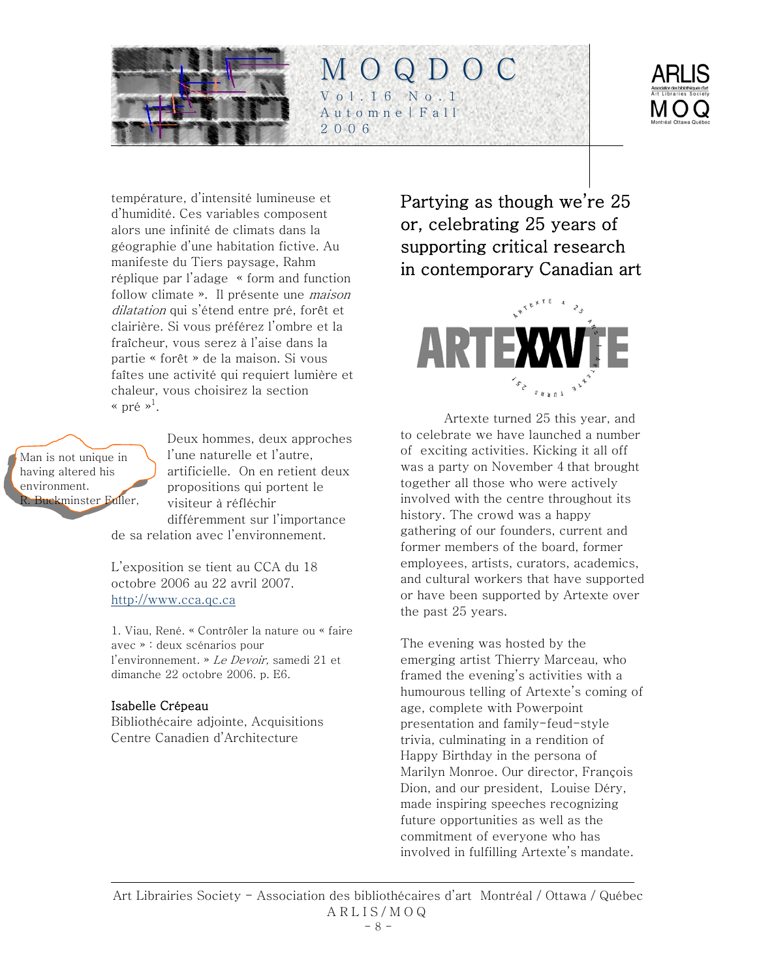<span id="page-7-0"></span>



température, d'intensité lumineuse et d'humidité. Ces variables composent alors une infinité de climats dans la géographie d'une habitation fictive. Au manifeste du Tiers paysage, Rahm réplique par l'adage « form and function follow climate ». Il présente une *maison* dilatation qui s'étend entre pré, forêt et clairière. Si vous préférez l'ombre et la fraîcheur, vous serez à l'aise dans la partie « forêt » de la maison. Si vous faîtes une activité qui requiert lumière et chaleur, vous choisirez la section « pré » $^1$ .

Man is not unique in having altered his environment. R. Buckminster Fuller,

Deux hommes, deux approches l'une naturelle et l'autre, artificielle. On en retient deux propositions qui portent le visiteur à réfléchir différemment sur l'importance de sa relation avec l'environnement.

L'exposition se tient au CCA du 18 octobre 2006 au 22 avril 2007. [http://www.cca.qc.ca](http://www.cca.qc.ca/) 

1. Viau, René. « Contrôler la nature ou « faire avec » : deux scénarios pour l'environnement. » Le Devoir, samedi 21 et dimanche 22 octobre 2006. p. E6.

### Isabelle Crépeau

Bibliothécaire adjointe, Acquisitions Centre Canadien d'Architecture

Partying as though we're 25 or, celebrating 25 years of supporting critical research in contemporary Canadian art



Artexte turned 25 this year, and to celebrate we have launched a number of exciting activities. Kicking it all off was a party on November 4 that brought together all those who were actively involved with the centre throughout its history. The crowd was a happy gathering of our founders, current and former members of the board, former employees, artists, curators, academics, and cultural workers that have supported or have been supported by Artexte over the past 25 years.

The evening was hosted by the emerging artist Thierry Marceau, who framed the evening's activities with a humourous telling of Artexte's coming of age, complete with Powerpoint presentation and family-feud-style trivia, culminating in a rendition of Happy Birthday in the persona of Marilyn Monroe. Our director, François Dion, and our president, Louise Déry, made inspiring speeches recognizing future opportunities as well as the commitment of everyone who has involved in fulfilling Artexte's mandate.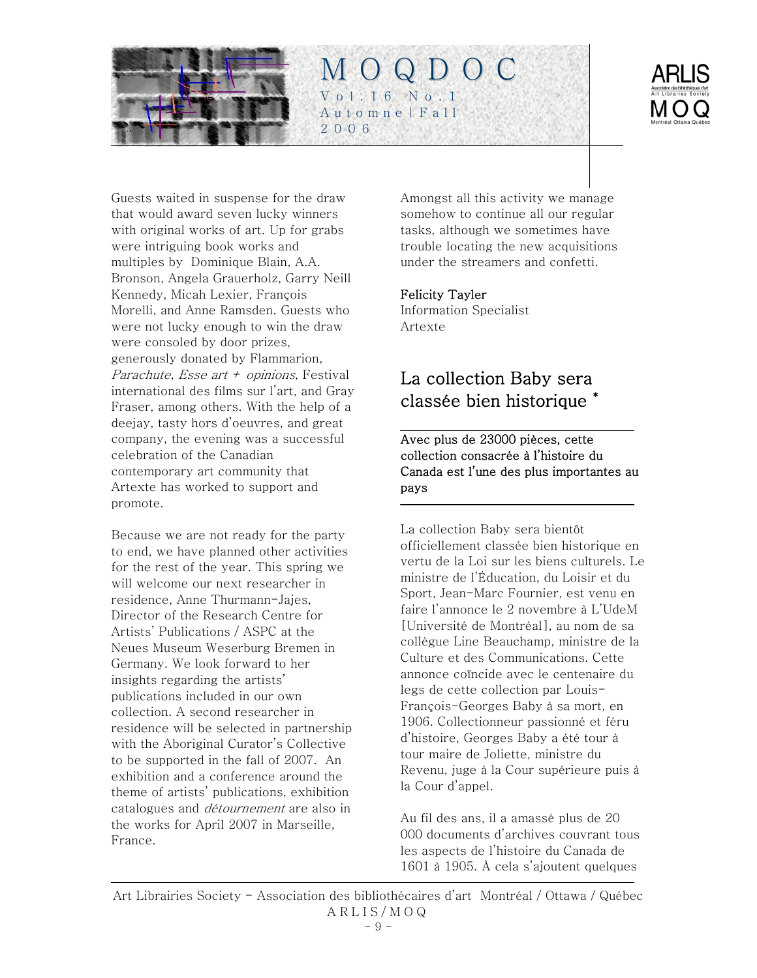<span id="page-8-0"></span>



Guests waited in suspense for the draw that would award seven lucky winners with original works of art. Up for grabs were intriguing book works and multiples by Dominique Blain, A.A. Bronson, Angela Grauerholz, Garry Neill Kennedy, Micah Lexier, François Morelli, and Anne Ramsden. Guests who were not lucky enough to win the draw were consoled by door prizes, generously donated by Flammarion, Parachute, Esse art  $+$  opinions, Festival international des films sur l'art, and Gray Fraser, among others. With the help of a deejay, tasty hors d'oeuvres, and great company, the evening was a successful celebration of the Canadian contemporary art community that Artexte has worked to support and promote.

Because we are not ready for the party to end, we have planned other activities for the rest of the year. This spring we will welcome our next researcher in residence, Anne Thurmann-Jajes, Director of the Research Centre for Artists' Publications / ASPC at the Neues Museum Weserburg Bremen in Germany. We look forward to her insights regarding the artists' publications included in our own collection. A second researcher in residence will be selected in partnership with the Aboriginal Curator's Collective to be supported in the fall of 2007. An exhibition and a conference around the theme of artists' publications, exhibition catalogues and détournement are also in the works for April 2007 in Marseille, France.

Amongst all this activity we manage somehow to continue all our regular tasks, although we sometimes have trouble locating the new acquisitions under the streamers and confetti.

### Felicity Tayler

Information Specialist Artexte

# La collection Baby sera classée bien historique \*

Avec plus de 23000 pièces, cette collection consacrée à l'histoire du Canada est l'une des plus importantes au pays

La collection Baby sera bientôt officiellement classée bien historique en vertu de la Loi sur les biens culturels. Le ministre de l'Éducation, du Loisir et du Sport, Jean-Marc Fournier, est venu en faire l'annonce le 2 novembre à L'UdeM [Université de Montréal], au nom de sa collègue Line Beauchamp, ministre de la Culture et des Communications. Cette annonce coïncide avec le centenaire du legs de cette collection par Louis-François-Georges Baby à sa mort, en 1906. Collectionneur passionné et féru d'histoire, Georges Baby a été tour à tour maire de Joliette, ministre du Revenu, juge à la Cour supérieure puis à la Cour d'appel.

Au fil des ans, il a amassé plus de 20 000 documents d'archives couvrant tous les aspects de l'histoire du Canada de 1601 à 1905. À cela s'ajoutent quelques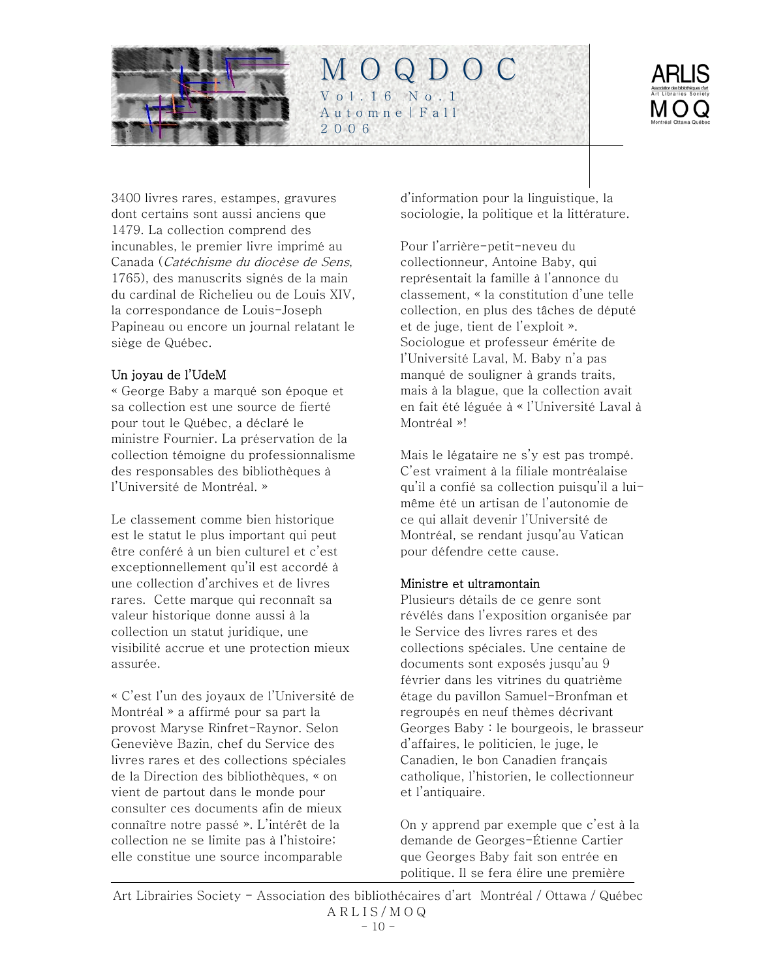



3400 livres rares, estampes, gravures dont certains sont aussi anciens que 1479. La collection comprend des incunables, le premier livre imprimé au Canada (Catéchisme du diocèse de Sens, 1765), des manuscrits signés de la main du cardinal de Richelieu ou de Louis XIV, la correspondance de Louis-Joseph Papineau ou encore un journal relatant le siège de Québec.

### Un joyau de l'UdeM

« George Baby a marqué son époque et sa collection est une source de fierté pour tout le Québec, a déclaré le ministre Fournier. La préservation de la collection témoigne du professionnalisme des responsables des bibliothèques à l'Université de Montréal. »

Le classement comme bien historique est le statut le plus important qui peut être conféré à un bien culturel et c'est exceptionnellement qu'il est accordé à une collection d'archives et de livres rares. Cette marque qui reconnaît sa valeur historique donne aussi à la collection un statut juridique, une visibilité accrue et une protection mieux assurée.

« C'est l'un des joyaux de l'Université de Montréal » a affirmé pour sa part la provost Maryse Rinfret-Raynor. Selon Geneviève Bazin, chef du Service des livres rares et des collections spéciales de la Direction des bibliothèques, « on vient de partout dans le monde pour consulter ces documents afin de mieux connaître notre passé ». L'intérêt de la collection ne se limite pas à l'histoire; elle constitue une source incomparable

d'information pour la linguistique, la sociologie, la politique et la littérature.

Pour l'arrière-petit-neveu du collectionneur, Antoine Baby, qui représentait la famille à l'annonce du classement, « la constitution d'une telle collection, en plus des tâches de député et de juge, tient de l'exploit ». Sociologue et professeur émérite de l'Université Laval, M. Baby n'a pas manqué de souligner à grands traits, mais à la blague, que la collection avait en fait été léguée à « l'Université Laval à Montréal »!

Mais le légataire ne s'y est pas trompé. C'est vraiment à la filiale montréalaise qu'il a confié sa collection puisqu'il a luimême été un artisan de l'autonomie de ce qui allait devenir l'Université de Montréal, se rendant jusqu'au Vatican pour défendre cette cause.

#### Ministre et ultramontain

Plusieurs détails de ce genre sont révélés dans l'exposition organisée par le Service des livres rares et des collections spéciales. Une centaine de documents sont exposés jusqu'au 9 février dans les vitrines du quatrième étage du pavillon Samuel-Bronfman et regroupés en neuf thèmes décrivant Georges Baby : le bourgeois, le brasseur d'affaires, le politicien, le juge, le Canadien, le bon Canadien français catholique, l'historien, le collectionneur et l'antiquaire.

On y apprend par exemple que c'est à la demande de Georges-Étienne Cartier que Georges Baby fait son entrée en politique. Il se fera élire une première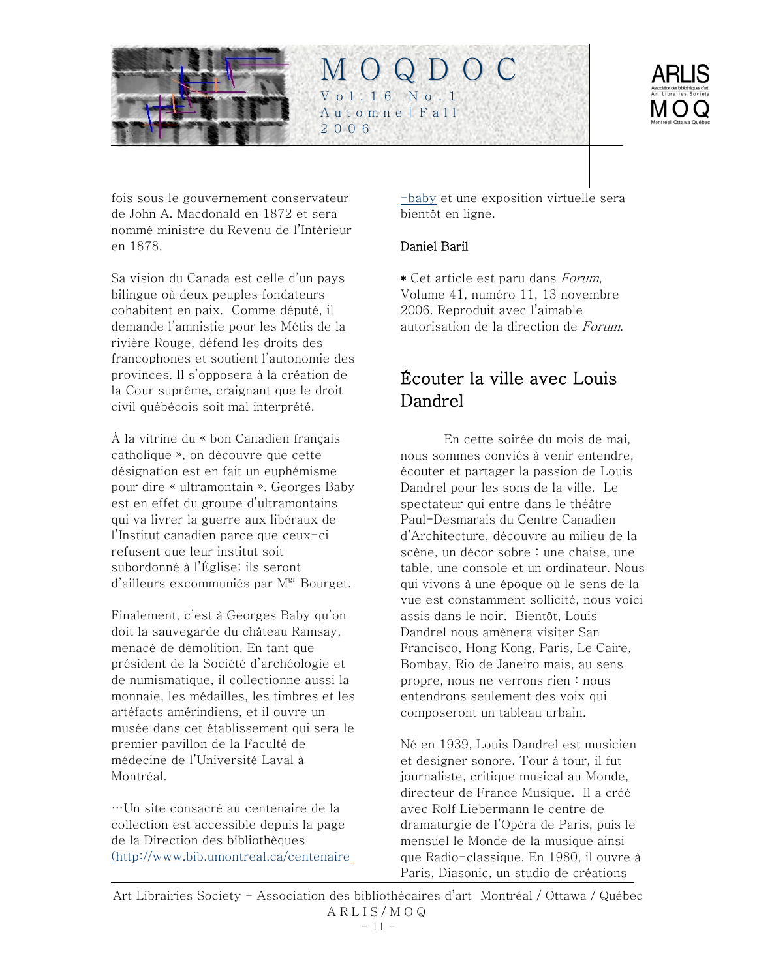<span id="page-10-0"></span>

fois sous le gouvernement conservateur de John A. Macdonald en 1872 et sera nommé ministre du Revenu de l'Intérieur en 1878.

Sa vision du Canada est celle d'un pays bilingue où deux peuples fondateurs cohabitent en paix. Comme député, il demande l'amnistie pour les Métis de la rivière Rouge, défend les droits des francophones et soutient l'autonomie des provinces. Il s'opposera à la création de la Cour suprême, craignant que le droit civil québécois soit mal interprété.

À la vitrine du « bon Canadien français catholique », on découvre que cette désignation est en fait un euphémisme pour dire « ultramontain ». Georges Baby est en effet du groupe d'ultramontains qui va livrer la guerre aux libéraux de l'Institut canadien parce que ceux-ci refusent que leur institut soit subordonné à l'Église; ils seront  $d'$ ailleurs excommuniés par  $M<sup>gr</sup>$  Bourget.

Finalement, c'est à Georges Baby qu'on doit la sauvegarde du château Ramsay, menacé de démolition. En tant que président de la Société d'archéologie et de numismatique, il collectionne aussi la monnaie, les médailles, les timbres et les artéfacts amérindiens, et il ouvre un musée dans cet établissement qui sera le premier pavillon de la Faculté de médecine de l'Université Laval à Montréal.

…Un site consacré au centenaire de la collection est accessible depuis la page de la Direction des bibliothèques ([http://www.bib.umontreal.ca/centenaire](http://www.bib.umontreal.ca/centenaire-baby) [-baby](http://www.bib.umontreal.ca/centenaire-baby) et une exposition virtuelle sera bientôt en ligne.

### Daniel Baril

M O Q D O C

Vol.16 No.1 Automne|Fall

2006

\* Cet article est paru dans Forum, Volume 41, numéro 11, 13 novembre 2006. Reproduit avec l'aimable autorisation de la direction de Forum.

# Écouter la ville avec Louis Dandrel

En cette soirée du mois de mai, nous sommes conviés à venir entendre, écouter et partager la passion de Louis Dandrel pour les sons de la ville. Le spectateur qui entre dans le théâtre Paul-Desmarais du Centre Canadien d'Architecture, découvre au milieu de la scène, un décor sobre : une chaise, une table, une console et un ordinateur. Nous qui vivons à une époque où le sens de la vue est constamment sollicité, nous voici assis dans le noir. Bientôt, Louis Dandrel nous amènera visiter San Francisco, Hong Kong, Paris, Le Caire, Bombay, Rio de Janeiro mais, au sens propre, nous ne verrons rien : nous entendrons seulement des voix qui composeront un tableau urbain.

Né en 1939, Louis Dandrel est musicien et designer sonore. Tour à tour, il fut journaliste, critique musical au Monde, directeur de France Musique. Il a créé avec Rolf Liebermann le centre de dramaturgie de l'Opéra de Paris, puis le mensuel le Monde de la musique ainsi que Radio-classique. En 1980, il ouvre à Paris, Diasonic, un studio de créations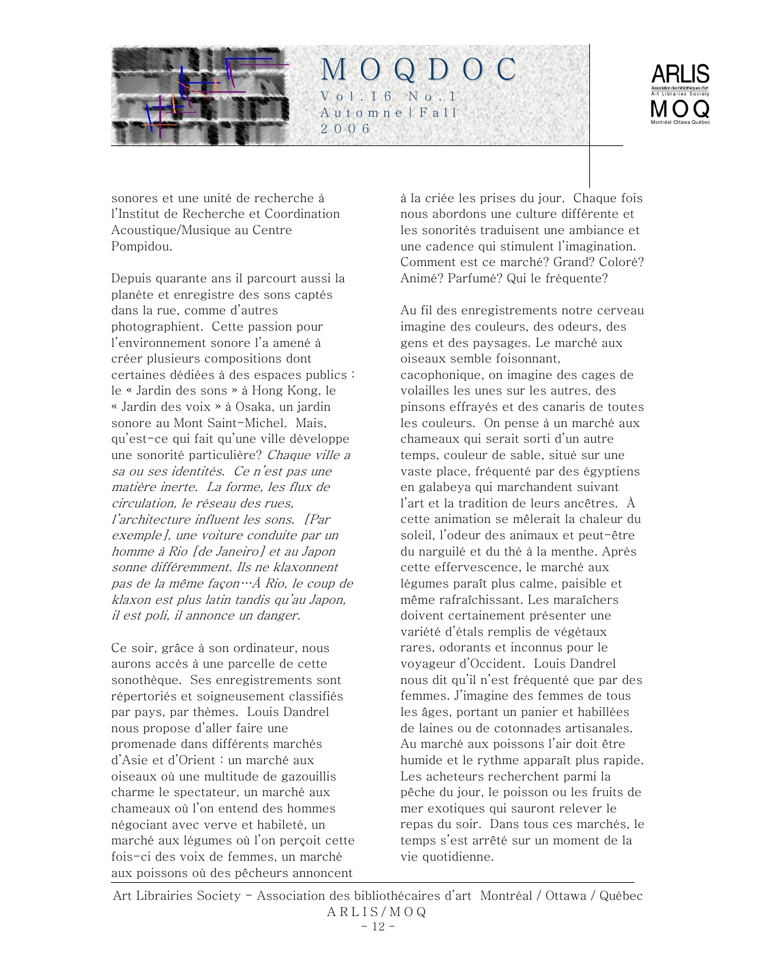



sonores et une unité de recherche à l'Institut de Recherche et Coordination Acoustique/Musique au Centre Pompidou.

Depuis quarante ans il parcourt aussi la planète et enregistre des sons captés dans la rue, comme d'autres photographient. Cette passion pour l'environnement sonore l'a amené à créer plusieurs compositions dont certaines dédiées à des espaces publics : le « Jardin des sons » à Hong Kong, le « Jardin des voix » à Osaka, un jardin sonore au Mont Saint-Michel. Mais, qu'est-ce qui fait qu'une ville développe une sonorité particulière? Chaque ville a sa ou ses identités. Ce n'est pas une matière inerte. La forme, les flux de circulation, le réseau des rues, l'architecture influent les sons. [Par exemple], une voiture conduite par un homme à Rio [de Janeiro] et au Japon sonne différemment. Ils ne klaxonnent pas de la même façon…À Rio, le coup de klaxon est plus latin tandis qu'au Japon, il est poli, il annonce un danger.

Ce soir, grâce à son ordinateur, nous aurons accès à une parcelle de cette sonothèque. Ses enregistrements sont répertoriés et soigneusement classifiés par pays, par thèmes. Louis Dandrel nous propose d'aller faire une promenade dans différents marchés d'Asie et d'Orient : un marché aux oiseaux où une multitude de gazouillis charme le spectateur, un marché aux chameaux où l'on entend des hommes négociant avec verve et habileté, un marché aux légumes où l'on perçoit cette fois-ci des voix de femmes, un marché aux poissons où des pêcheurs annoncent

à la criée les prises du jour. Chaque fois nous abordons une culture différente et les sonorités traduisent une ambiance et une cadence qui stimulent l'imagination. Comment est ce marché? Grand? Coloré? Animé? Parfumé? Qui le fréquente?

Au fil des enregistrements notre cerveau imagine des couleurs, des odeurs, des gens et des paysages. Le marché aux oiseaux semble foisonnant, cacophonique, on imagine des cages de volailles les unes sur les autres, des pinsons effrayés et des canaris de toutes les couleurs. On pense à un marché aux chameaux qui serait sorti d'un autre temps, couleur de sable, situé sur une vaste place, fréquenté par des égyptiens en galabeya qui marchandent suivant l'art et la tradition de leurs ancêtres. À cette animation se mêlerait la chaleur du soleil, l'odeur des animaux et peut-être du narguilé et du thé à la menthe. Après cette effervescence, le marché aux légumes paraît plus calme, paisible et même rafraîchissant. Les maraîchers doivent certainement présenter une variété d'étals remplis de végétaux rares, odorants et inconnus pour le voyageur d'Occident. Louis Dandrel nous dit qu'il n'est fréquenté que par des femmes. J'imagine des femmes de tous les âges, portant un panier et habillées de laines ou de cotonnades artisanales. Au marché aux poissons l'air doit être humide et le rythme apparaît plus rapide. Les acheteurs recherchent parmi la pêche du jour, le poisson ou les fruits de mer exotiques qui sauront relever le repas du soir. Dans tous ces marchés, le temps s'est arrêté sur un moment de la vie quotidienne.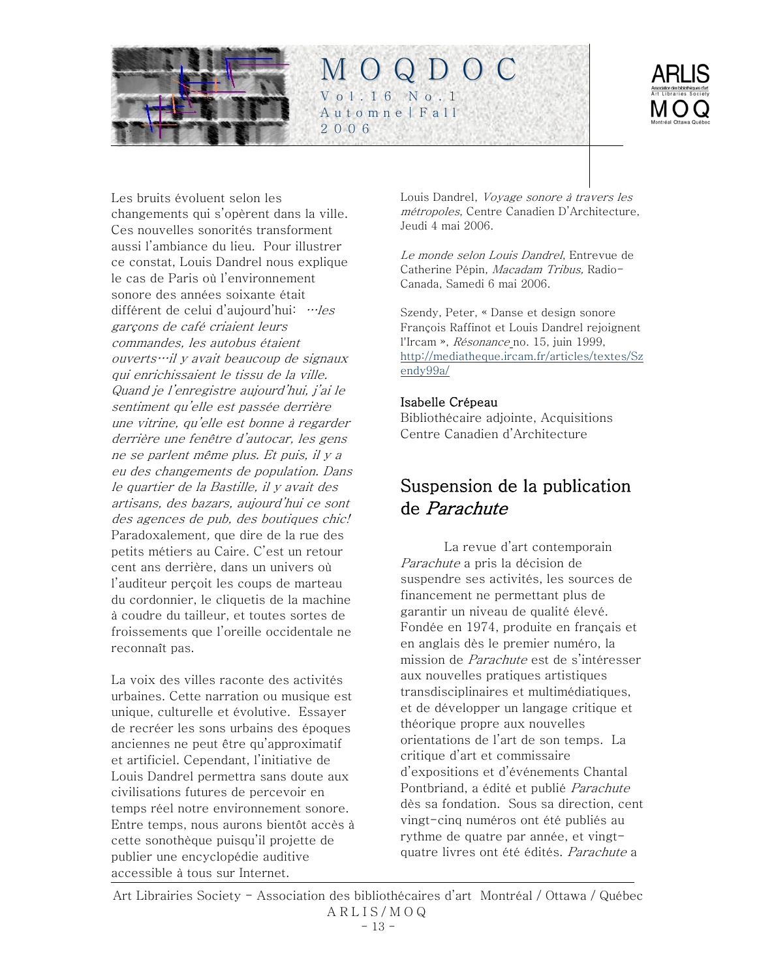<span id="page-12-0"></span>



Les bruits évoluent selon les changements qui s'opèrent dans la ville. Ces nouvelles sonorités transforment aussi l'ambiance du lieu. Pour illustrer ce constat, Louis Dandrel nous explique le cas de Paris où l'environnement sonore des années soixante était différent de celui d'aujourd'hui: …les garçons de café criaient leurs commandes, les autobus étaient ouverts…il y avait beaucoup de signaux qui enrichissaient le tissu de la ville. Quand je l'enregistre aujourd'hui, j'ai le sentiment qu'elle est passée derrière une vitrine, qu'elle est bonne à regarder derrière une fenêtre d'autocar, les gens ne se parlent même plus. Et puis, il y a eu des changements de population. Dans le quartier de la Bastille, il y avait des artisans, des bazars, aujourd'hui ce sont des agences de pub, des boutiques chic! Paradoxalement, que dire de la rue des petits métiers au Caire. C'est un retour cent ans derrière, dans un univers où l'auditeur perçoit les coups de marteau du cordonnier, le cliquetis de la machine à coudre du tailleur, et toutes sortes de froissements que l'oreille occidentale ne reconnaît pas.

La voix des villes raconte des activités urbaines. Cette narration ou musique est unique, culturelle et évolutive. Essayer de recréer les sons urbains des époques anciennes ne peut être qu'approximatif et artificiel. Cependant, l'initiative de Louis Dandrel permettra sans doute aux civilisations futures de percevoir en temps réel notre environnement sonore. Entre temps, nous aurons bientôt accès à cette sonothèque puisqu'il projette de publier une encyclopédie auditive accessible à tous sur Internet.

Louis Dandrel, Voyage sonore à travers les métropoles, Centre Canadien D'Architecture, Jeudi 4 mai 2006.

Le monde selon Louis Dandrel, Entrevue de Catherine Pépin, Macadam Tribus, Radio-Canada, Samedi 6 mai 2006.

Szendy, Peter, « Danse et design sonore François Raffinot et Louis Dandrel rejoignent l'Ircam », Résonance no. 15, juin 1999, [http://mediatheque.ircam.fr/articles/textes/Sz](http://mediatheque.ircam.fr/articles/textes/Szendy99a/) [endy99a/](http://mediatheque.ircam.fr/articles/textes/Szendy99a/)

#### Isabelle Crépeau

Bibliothécaire adjointe, Acquisitions Centre Canadien d'Architecture

# Suspension de la publication de Parachute

La revue d'art contemporain Parachute a pris la décision de suspendre ses activités, les sources de financement ne permettant plus de garantir un niveau de qualité élevé. Fondée en 1974, produite en français et en anglais dès le premier numéro, la mission de Parachute est de s'intéresser aux nouvelles pratiques artistiques transdisciplinaires et multimédiatiques, et de développer un langage critique et théorique propre aux nouvelles orientations de l'art de son temps. La critique d'art et commissaire d'expositions et d'événements Chantal Pontbriand, a édité et publié Parachute dès sa fondation. Sous sa direction, cent vingt-cinq numéros ont été publiés au rythme de quatre par année, et vingtquatre livres ont été édités. Parachute a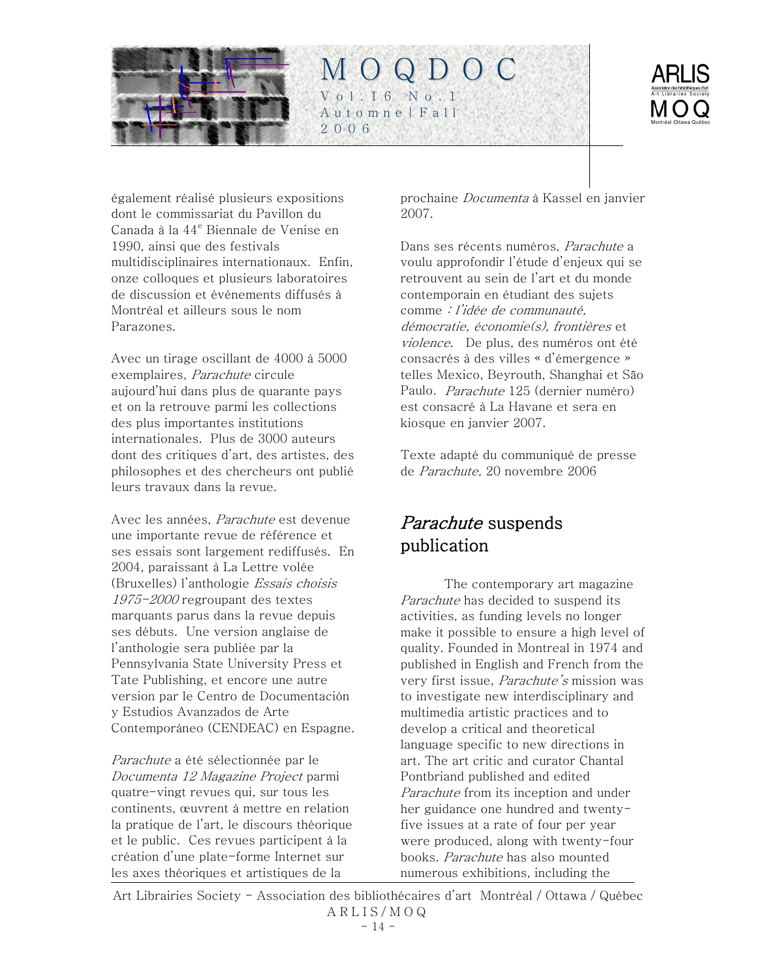<span id="page-13-0"></span>



également réalisé plusieurs expositions dont le commissariat du Pavillon du Canada à la 44<sup>e</sup> Biennale de Venise en 1990, ainsi que des festivals multidisciplinaires internationaux. Enfin, onze colloques et plusieurs laboratoires de discussion et événements diffusés à Montréal et ailleurs sous le nom Parazones.

Avec un tirage oscillant de 4000 à 5000 exemplaires, Parachute circule aujourd'hui dans plus de quarante pays et on la retrouve parmi les collections des plus importantes institutions internationales. Plus de 3000 auteurs dont des critiques d'art, des artistes, des philosophes et des chercheurs ont publié leurs travaux dans la revue.

Avec les années, Parachute est devenue une importante revue de référence et ses essais sont largement rediffusés. En 2004, paraissant à La Lettre volée (Bruxelles) l'anthologie Essais choisis 1975-2000 regroupant des textes marquants parus dans la revue depuis ses débuts. Une version anglaise de l'anthologie sera publiée par la Pennsylvania State University Press et Tate Publishing, et encore une autre version par le Centro de Documentación y Estudios Avanzados de Arte Contemporáneo (CENDEAC) en Espagne.

Parachute a été sélectionnée par le Documenta 12 Magazine Project parmi quatre-vingt revues qui, sur tous les continents, œuvrent à mettre en relation la pratique de l'art, le discours théorique et le public. Ces revues participent à la création d'une plate-forme Internet sur les axes théoriques et artistiques de la

prochaine Documenta à Kassel en janvier 2007.

Dans ses récents numéros, Parachute a voulu approfondir l'étude d'enjeux qui se retrouvent au sein de l'art et du monde contemporain en étudiant des sujets comme : l'idée de communauté, démocratie, économie(s), frontières et violence. De plus, des numéros ont été consacrés à des villes « d'émergence » telles Mexico, Beyrouth, Shanghai et São Paulo. Parachute 125 (dernier numéro) est consacré à La Havane et sera en kiosque en janvier 2007.

Texte adapté du communiqué de presse de Parachute, 20 novembre 2006

# Parachute suspends publication

The contemporary art magazine Parachute has decided to suspend its activities, as funding levels no longer make it possible to ensure a high level of quality. Founded in Montreal in 1974 and published in English and French from the very first issue, *Parachute's* mission was to investigate new interdisciplinary and multimedia artistic practices and to develop a critical and theoretical language specific to new directions in art. The art critic and curator Chantal Pontbriand published and edited Parachute from its inception and under her guidance one hundred and twentyfive issues at a rate of four per year were produced, along with twenty-four books. Parachute has also mounted numerous exhibitions, including the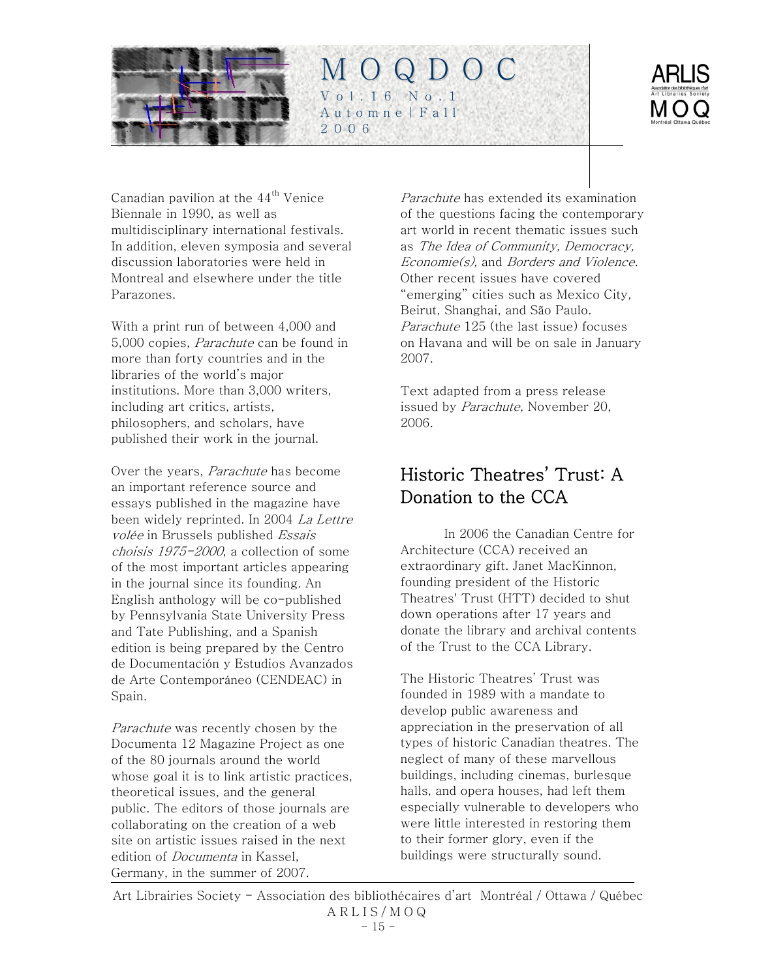<span id="page-14-0"></span>



Canadian pavilion at the  $44<sup>th</sup>$  Venice Biennale in 1990, as well as multidisciplinary international festivals. In addition, eleven symposia and several discussion laboratories were held in Montreal and elsewhere under the title Parazones.

With a print run of between 4,000 and 5,000 copies, Parachute can be found in more than forty countries and in the libraries of the world's major institutions. More than 3,000 writers, including art critics, artists, philosophers, and scholars, have published their work in the journal.

Over the years, Parachute has become an important reference source and essays published in the magazine have been widely reprinted. In 2004 La Lettre volée in Brussels published Essais choisis 1975-2000, a collection of some of the most important articles appearing in the journal since its founding. An English anthology will be co-published by Pennsylvania State University Press and Tate Publishing, and a Spanish edition is being prepared by the Centro de Documentación y Estudios Avanzados de Arte Contemporáneo (CENDEAC) in Spain.

Parachute was recently chosen by the Documenta 12 Magazine Project as one of the 80 journals around the world whose goal it is to link artistic practices, theoretical issues, and the general public. The editors of those journals are collaborating on the creation of a web site on artistic issues raised in the next edition of Documenta in Kassel, Germany, in the summer of 2007.

Parachute has extended its examination of the questions facing the contemporary art world in recent thematic issues such as The Idea of Community, Democracy, Economie(s), and Borders and Violence. Other recent issues have covered "emerging" cities such as Mexico City, Beirut, Shanghai, and São Paulo. Parachute 125 (the last issue) focuses on Havana and will be on sale in January 2007.

Text adapted from a press release issued by *Parachute*, November 20, 2006.

# Historic Theatres' Trust: A Donation to the CCA

In 2006 the Canadian Centre for Architecture (CCA) received an extraordinary gift. Janet MacKinnon, founding president of the Historic Theatres' Trust (HTT) decided to shut down operations after 17 years and donate the library and archival contents of the Trust to the CCA Library.

The Historic Theatres' Trust was founded in 1989 with a mandate to develop public awareness and appreciation in the preservation of all types of historic Canadian theatres. The neglect of many of these marvellous buildings, including cinemas, burlesque halls, and opera houses, had left them especially vulnerable to developers who were little interested in restoring them to their former glory, even if the buildings were structurally sound.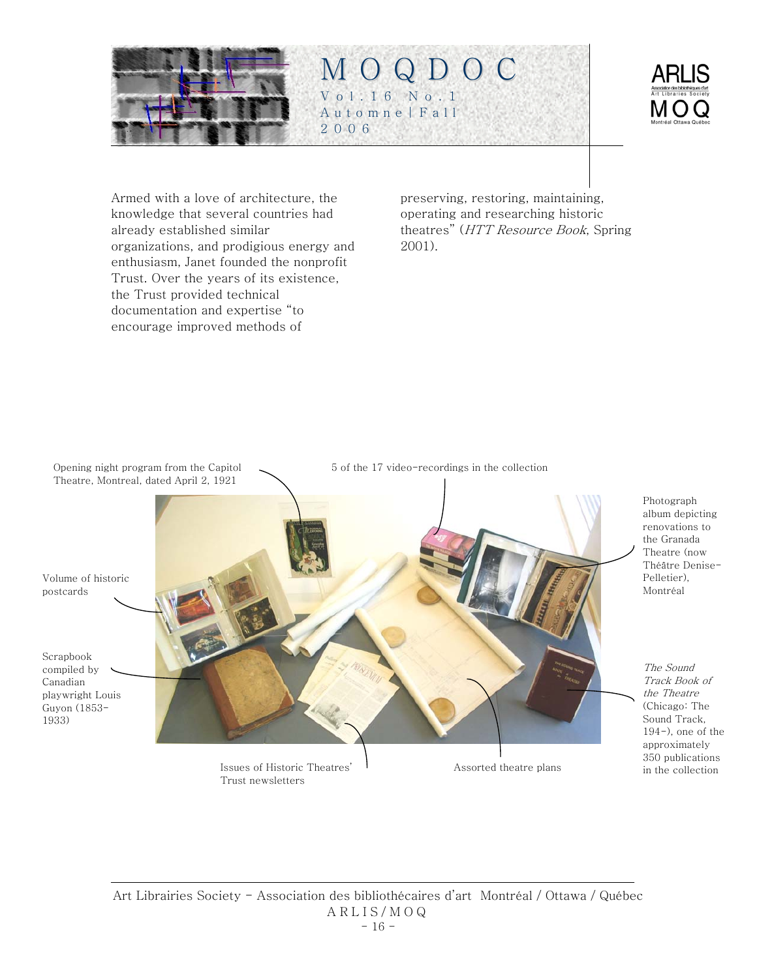



Armed with a love of architecture, the knowledge that several countries had already established similar organizations, and prodigious energy and enthusiasm, Janet founded the nonprofit Trust. Over the years of its existence, the Trust provided technical documentation and expertise "to encourage improved methods of

preserving, restoring, maintaining, operating and researching historic theatres" (HTT Resource Book, Spring 2001).

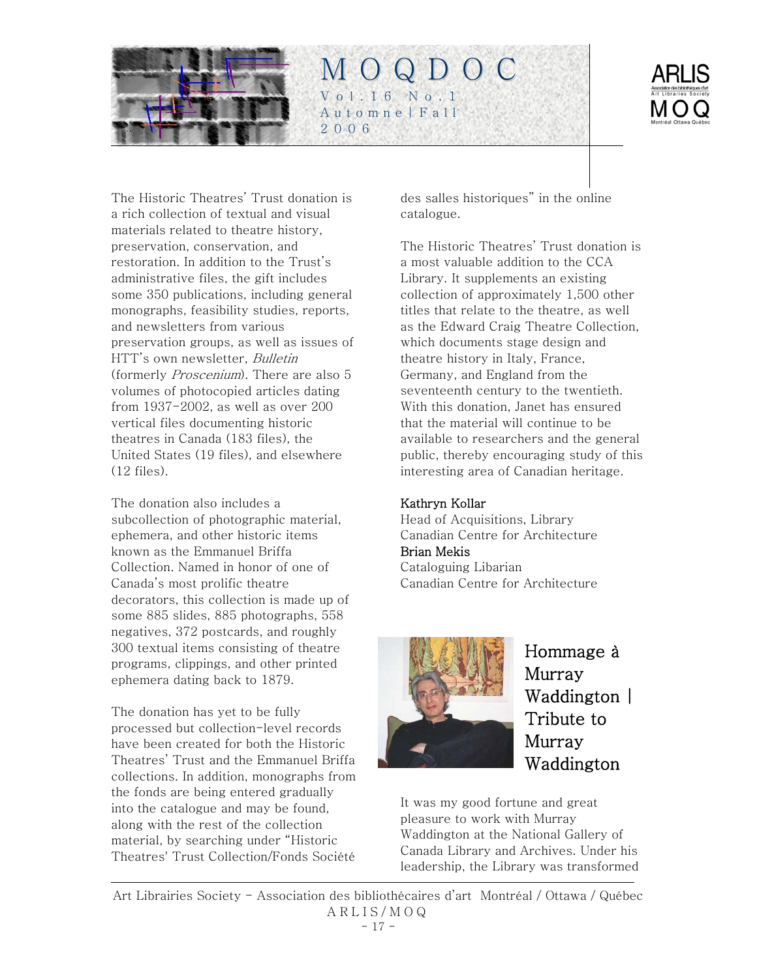<span id="page-16-0"></span>

The Historic Theatres' Trust donation is a rich collection of textual and visual materials related to theatre history, preservation, conservation, and restoration. In addition to the Trust's administrative files, the gift includes some 350 publications, including general monographs, feasibility studies, reports, and newsletters from various preservation groups, as well as issues of HTT's own newsletter, *Bulletin* (formerly Proscenium). There are also 5 volumes of photocopied articles dating from 1937-2002, as well as over 200 vertical files documenting historic theatres in Canada (183 files), the United States (19 files), and elsewhere (12 files).

The donation also includes a subcollection of photographic material, ephemera, and other historic items known as the Emmanuel Briffa Collection. Named in honor of one of Canada's most prolific theatre decorators, this collection is made up of some 885 slides, 885 photographs, 558 negatives, 372 postcards, and roughly 300 textual items consisting of theatre programs, clippings, and other printed ephemera dating back to 1879.

The donation has yet to be fully processed but collection-level records have been created for both the Historic Theatres' Trust and the Emmanuel Briffa collections. In addition, monographs from the fonds are being entered gradually into the catalogue and may be found, along with the rest of the collection material, by searching under "Historic Theatres' Trust Collection/Fonds Société

des salles historiques" in the online catalogue.

The Historic Theatres' Trust donation is a most valuable addition to the CCA Library. It supplements an existing collection of approximately 1,500 other titles that relate to the theatre, as well as the Edward Craig Theatre Collection, which documents stage design and theatre history in Italy, France, Germany, and England from the seventeenth century to the twentieth. With this donation, Janet has ensured that the material will continue to be available to researchers and the general public, thereby encouraging study of this interesting area of Canadian heritage.

### Kathryn Kollar

Head of Acquisitions, Library Canadian Centre for Architecture Brian Mekis Cataloguing Libarian Canadian Centre for Architecture



Hommage à Murray Waddington | Tribute to Murray Waddington

It was my good fortune and great pleasure to work with Murray Waddington at the National Gallery of Canada Library and Archives. Under his leadership, the Library was transformed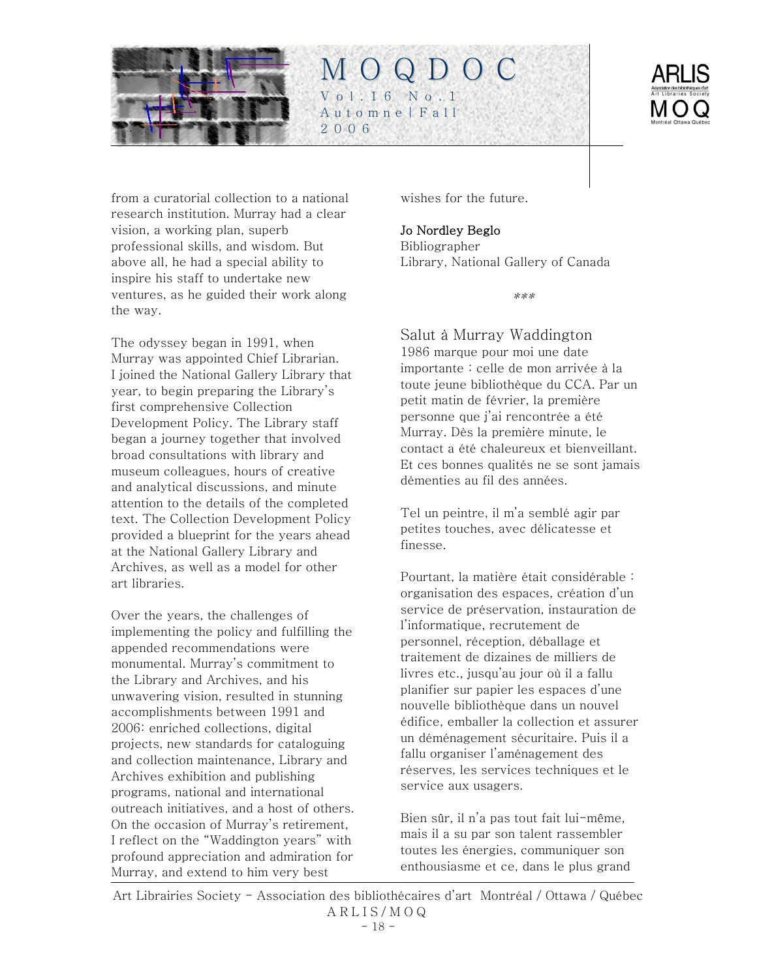



from a curatorial collection to a national research institution. Murray had a clear vision, a working plan, superb professional skills, and wisdom. But above all, he had a special ability to inspire his staff to undertake new ventures, as he guided their work along the way.

The odyssey began in 1991, when Murray was appointed Chief Librarian. I joined the National Gallery Library that year, to begin preparing the Library's first comprehensive Collection Development Policy. The Library staff began a journey together that involved broad consultations with library and museum colleagues, hours of creative and analytical discussions, and minute attention to the details of the completed text. The Collection Development Policy provided a blueprint for the years ahead at the National Gallery Library and Archives, as well as a model for other art libraries.

Over the years, the challenges of implementing the policy and fulfilling the appended recommendations were monumental. Murray's commitment to the Library and Archives, and his unwavering vision, resulted in stunning accomplishments between 1991 and 2006: enriched collections, digital projects, new standards for cataloguing and collection maintenance, Library and Archives exhibition and publishing programs, national and international outreach initiatives, and a host of others. On the occasion of Murray's retirement, I reflect on the "Waddington years" with profound appreciation and admiration for Murray, and extend to him very best

wishes for the future.

### Jo Nordley Beglo

Bibliographer Library, National Gallery of Canada

\*\*\*

Salut à Murray Waddington 1986 marque pour moi une date importante : celle de mon arrivée à la toute jeune bibliothèque du CCA. Par un petit matin de février, la première personne que j'ai rencontrée a été Murray. Dès la première minute, le contact a été chaleureux et bienveillant. Et ces bonnes qualités ne se sont jamais démenties au fil des années.

Tel un peintre, il m'a semblé agir par petites touches, avec délicatesse et finesse.

Pourtant, la matière était considérable : organisation des espaces, création d'un service de préservation, instauration de l'informatique, recrutement de personnel, réception, déballage et traitement de dizaines de milliers de livres etc., jusqu'au jour où il a fallu planifier sur papier les espaces d'une nouvelle bibliothèque dans un nouvel édifice, emballer la collection et assurer un déménagement sécuritaire. Puis il a fallu organiser l'aménagement des réserves, les services techniques et le service aux usagers.

Bien sûr, il n'a pas tout fait lui-même, mais il a su par son talent rassembler toutes les énergies, communiquer son enthousiasme et ce, dans le plus grand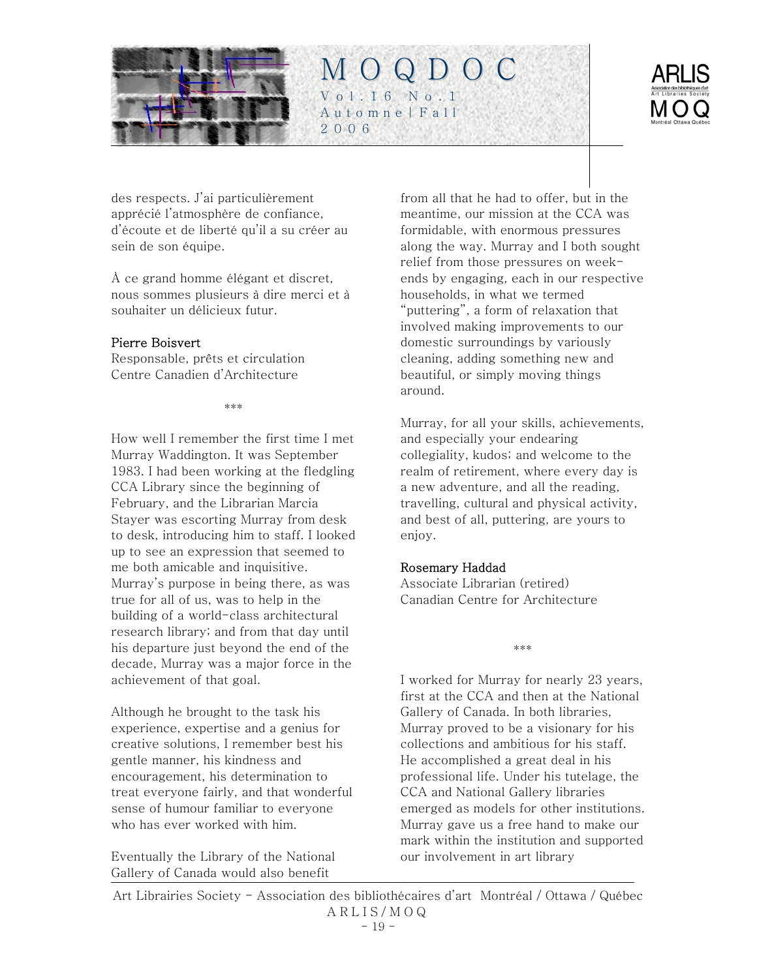



des respects. J'ai particulièrement apprécié l'atmosphère de confiance, d'écoute et de liberté qu'il a su créer au sein de son équipe.

À ce grand homme élégant et discret, nous sommes plusieurs à dire merci et à souhaiter un délicieux futur.

#### Pierre Boisvert

Responsable, prêts et circulation Centre Canadien d'Architecture

\*\*\*

How well I remember the first time I met Murray Waddington. It was September 1983. I had been working at the fledgling CCA Library since the beginning of February, and the Librarian Marcia Stayer was escorting Murray from desk to desk, introducing him to staff. I looked up to see an expression that seemed to me both amicable and inquisitive. Murray's purpose in being there, as was true for all of us, was to help in the building of a world-class architectural research library; and from that day until his departure just beyond the end of the decade, Murray was a major force in the achievement of that goal.

Although he brought to the task his experience, expertise and a genius for creative solutions, I remember best his gentle manner, his kindness and encouragement, his determination to treat everyone fairly, and that wonderful sense of humour familiar to everyone who has ever worked with him.

Eventually the Library of the National Gallery of Canada would also benefit

from all that he had to offer, but in the meantime, our mission at the CCA was formidable, with enormous pressures along the way. Murray and I both sought relief from those pressures on weekends by engaging, each in our respective households, in what we termed "puttering", a form of relaxation that involved making improvements to our domestic surroundings by variously cleaning, adding something new and beautiful, or simply moving things around.

Murray, for all your skills, achievements, and especially your endearing collegiality, kudos; and welcome to the realm of retirement, where every day is a new adventure, and all the reading, travelling, cultural and physical activity, and best of all, puttering, are yours to enjoy.

#### Rosemary Haddad

Associate Librarian (retired) Canadian Centre for Architecture

\*\*\*

I worked for Murray for nearly 23 years, first at the CCA and then at the National Gallery of Canada. In both libraries, Murray proved to be a visionary for his collections and ambitious for his staff. He accomplished a great deal in his professional life. Under his tutelage, the CCA and National Gallery libraries emerged as models for other institutions. Murray gave us a free hand to make our mark within the institution and supported our involvement in art library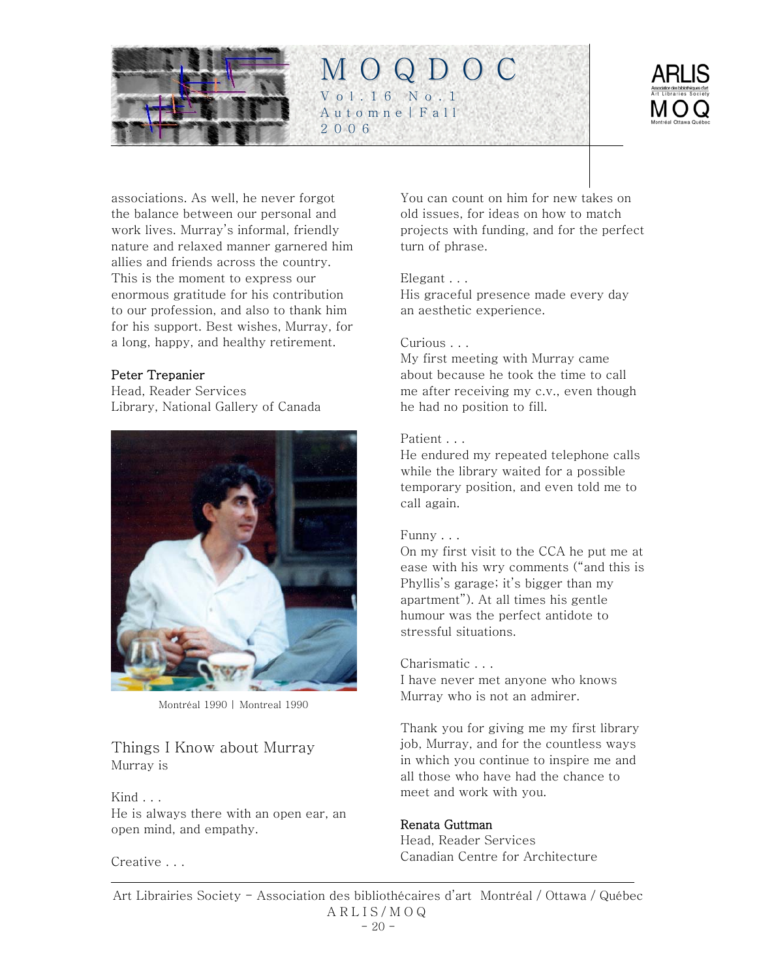



associations. As well, he never forgot the balance between our personal and work lives. Murray's informal, friendly nature and relaxed manner garnered him allies and friends across the country. This is the moment to express our enormous gratitude for his contribution to our profession, and also to thank him for his support. Best wishes, Murray, for a long, happy, and healthy retirement.

### Peter Trepanier

Head, Reader Services Library, National Gallery of Canada



Montréal 1990 | Montreal 1990

### Things I Know about Murray Murray is

Kind . . . He is always there with an open ear, an open mind, and empathy.

Creative . . .

You can count on him for new takes on old issues, for ideas on how to match projects with funding, and for the perfect turn of phrase.

#### Elegant . . .

His graceful presence made every day an aesthetic experience.

#### Curious . . .

My first meeting with Murray came about because he took the time to call me after receiving my c.v., even though he had no position to fill.

#### Patient . . .

He endured my repeated telephone calls while the library waited for a possible temporary position, and even told me to call again.

#### Funny . . .

On my first visit to the CCA he put me at ease with his wry comments ("and this is Phyllis's garage; it's bigger than my apartment"). At all times his gentle humour was the perfect antidote to stressful situations.

#### Charismatic . . .

I have never met anyone who knows Murray who is not an admirer.

Thank you for giving me my first library job, Murray, and for the countless ways in which you continue to inspire me and all those who have had the chance to meet and work with you.

#### Renata Guttman

Head, Reader Services Canadian Centre for Architecture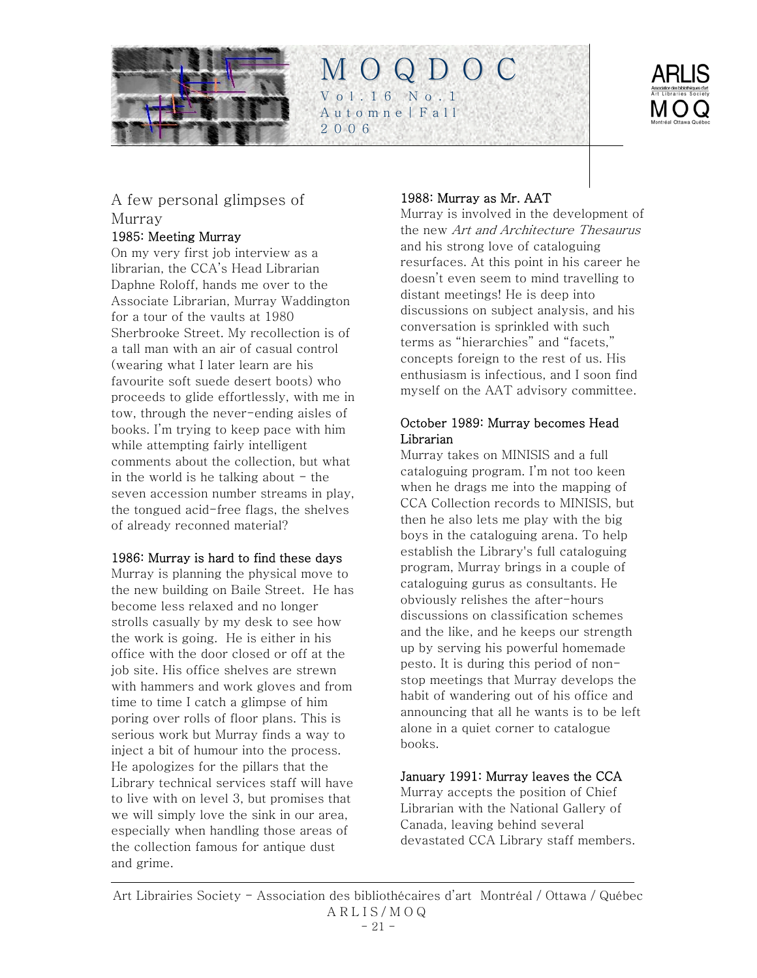



# A few personal glimpses of Murray

### 1985: Meeting Murray

On my very first job interview as a librarian, the CCA's Head Librarian Daphne Roloff, hands me over to the Associate Librarian, Murray Waddington for a tour of the vaults at 1980 Sherbrooke Street. My recollection is of a tall man with an air of casual control (wearing what I later learn are his favourite soft suede desert boots) who proceeds to glide effortlessly, with me in tow, through the never-ending aisles of books. I'm trying to keep pace with him while attempting fairly intelligent comments about the collection, but what in the world is he talking about  $-$  the seven accession number streams in play, the tongued acid-free flags, the shelves of already reconned material?

### 1986: Murray is hard to find these days

Murray is planning the physical move to the new building on Baile Street. He has become less relaxed and no longer strolls casually by my desk to see how the work is going. He is either in his office with the door closed or off at the job site. His office shelves are strewn with hammers and work gloves and from time to time I catch a glimpse of him poring over rolls of floor plans. This is serious work but Murray finds a way to inject a bit of humour into the process. He apologizes for the pillars that the Library technical services staff will have to live with on level 3, but promises that we will simply love the sink in our area, especially when handling those areas of the collection famous for antique dust and grime.

### 1988: Murray as Mr. AAT

Murray is involved in the development of the new Art and Architecture Thesaurus and his strong love of cataloguing resurfaces. At this point in his career he doesn't even seem to mind travelling to distant meetings! He is deep into discussions on subject analysis, and his conversation is sprinkled with such terms as "hierarchies" and "facets," concepts foreign to the rest of us. His enthusiasm is infectious, and I soon find myself on the AAT advisory committee.

### October 1989: Murray becomes Head Librarian

Murray takes on MINISIS and a full cataloguing program. I'm not too keen when he drags me into the mapping of CCA Collection records to MINISIS, but then he also lets me play with the big boys in the cataloguing arena. To help establish the Library's full cataloguing program, Murray brings in a couple of cataloguing gurus as consultants. He obviously relishes the after-hours discussions on classification schemes and the like, and he keeps our strength up by serving his powerful homemade pesto. It is during this period of nonstop meetings that Murray develops the habit of wandering out of his office and announcing that all he wants is to be left alone in a quiet corner to catalogue books.

### January 1991: Murray leaves the CCA

Murray accepts the position of Chief Librarian with the National Gallery of Canada, leaving behind several devastated CCA Library staff members.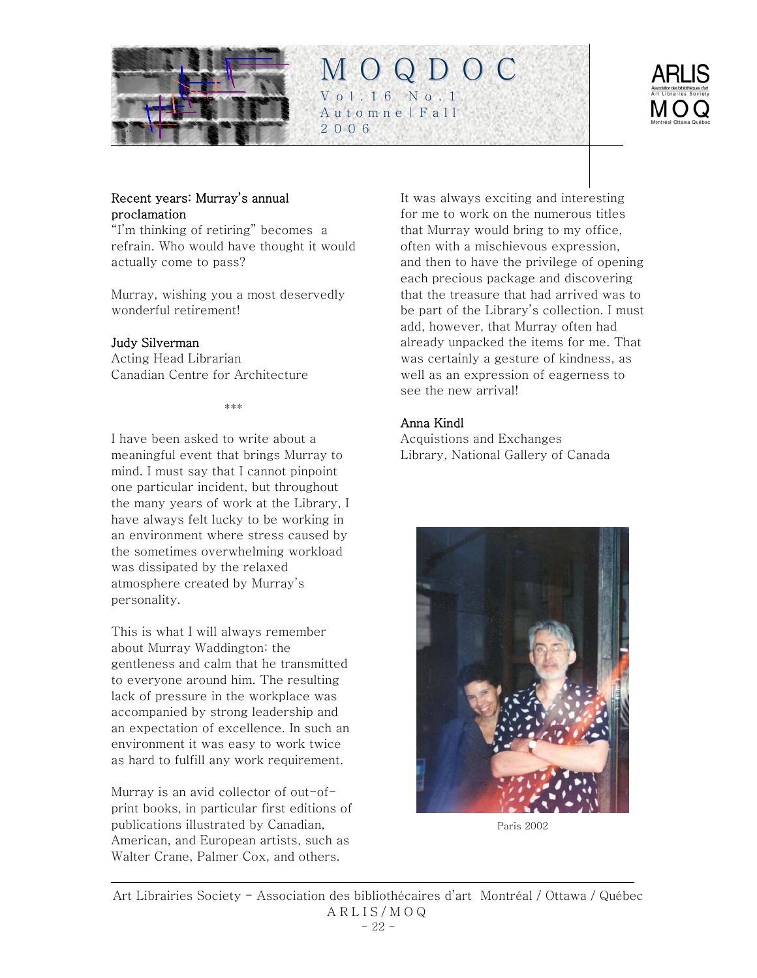

#### Recent years: Murray's annual proclamation

"I'm thinking of retiring" becomes a refrain. Who would have thought it would actually come to pass?

Murray, wishing you a most deservedly wonderful retirement!

#### Judy Silverman

Acting Head Librarian Canadian Centre for Architecture

\*\*\*

I have been asked to write about a meaningful event that brings Murray to mind. I must say that I cannot pinpoint one particular incident, but throughout the many years of work at the Library, I have always felt lucky to be working in an environment where stress caused by the sometimes overwhelming workload was dissipated by the relaxed atmosphere created by Murray's personality.

This is what I will always remember about Murray Waddington: the gentleness and calm that he transmitted to everyone around him. The resulting lack of pressure in the workplace was accompanied by strong leadership and an expectation of excellence. In such an environment it was easy to work twice as hard to fulfill any work requirement.

Murray is an avid collector of out-ofprint books, in particular first editions of publications illustrated by Canadian, American, and European artists, such as Walter Crane, Palmer Cox, and others.

It was always exciting and interesting for me to work on the numerous titles that Murray would bring to my office, often with a mischievous expression, and then to have the privilege of opening each precious package and discovering that the treasure that had arrived was to be part of the Library's collection. I must add, however, that Murray often had already unpacked the items for me. That was certainly a gesture of kindness, as well as an expression of eagerness to see the new arrival!

#### Anna Kindl

M O Q D O C

Vol.16 No.1 Automne|Fall

2006

Acquistions and Exchanges Library, National Gallery of Canada



Paris 2002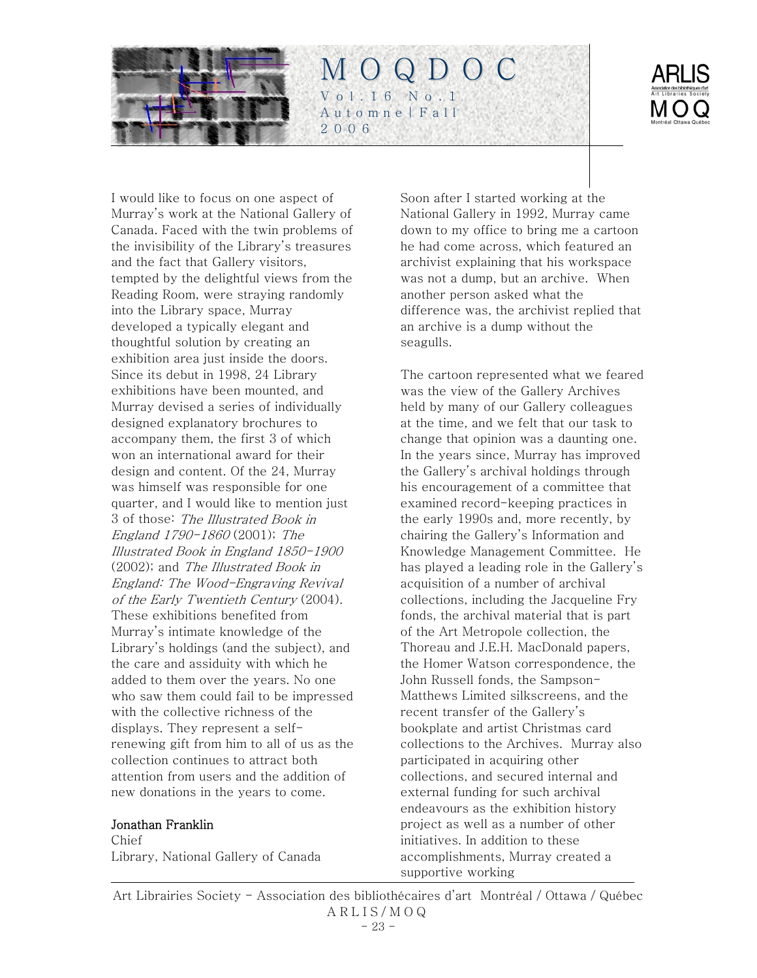



I would like to focus on one aspect of Murray's work at the National Gallery of Canada. Faced with the twin problems of the invisibility of the Library's treasures and the fact that Gallery visitors, tempted by the delightful views from the Reading Room, were straying randomly into the Library space, Murray developed a typically elegant and thoughtful solution by creating an exhibition area just inside the doors. Since its debut in 1998, 24 Library exhibitions have been mounted, and Murray devised a series of individually designed explanatory brochures to accompany them, the first 3 of which won an international award for their design and content. Of the 24, Murray was himself was responsible for one quarter, and I would like to mention just 3 of those: The Illustrated Book in England 1790-1860 (2001); The Illustrated Book in England 1850-1900 (2002); and The Illustrated Book in England: The Wood-Engraving Revival of the Early Twentieth Century (2004). These exhibitions benefited from Murray's intimate knowledge of the Library's holdings (and the subject), and the care and assiduity with which he added to them over the years. No one who saw them could fail to be impressed with the collective richness of the displays. They represent a selfrenewing gift from him to all of us as the collection continues to attract both attention from users and the addition of new donations in the years to come.

#### Jonathan Franklin

Chief Library, National Gallery of Canada

Soon after I started working at the National Gallery in 1992, Murray came down to my office to bring me a cartoon he had come across, which featured an archivist explaining that his workspace was not a dump, but an archive. When another person asked what the difference was, the archivist replied that an archive is a dump without the seagulls.

The cartoon represented what we feared was the view of the Gallery Archives held by many of our Gallery colleagues at the time, and we felt that our task to change that opinion was a daunting one. In the years since, Murray has improved the Gallery's archival holdings through his encouragement of a committee that examined record-keeping practices in the early 1990s and, more recently, by chairing the Gallery's Information and Knowledge Management Committee. He has played a leading role in the Gallery's acquisition of a number of archival collections, including the Jacqueline Fry fonds, the archival material that is part of the Art Metropole collection, the Thoreau and J.E.H. MacDonald papers, the Homer Watson correspondence, the John Russell fonds, the Sampson-Matthews Limited silkscreens, and the recent transfer of the Gallery's bookplate and artist Christmas card collections to the Archives. Murray also participated in acquiring other collections, and secured internal and external funding for such archival endeavours as the exhibition history project as well as a number of other initiatives. In addition to these accomplishments, Murray created a supportive working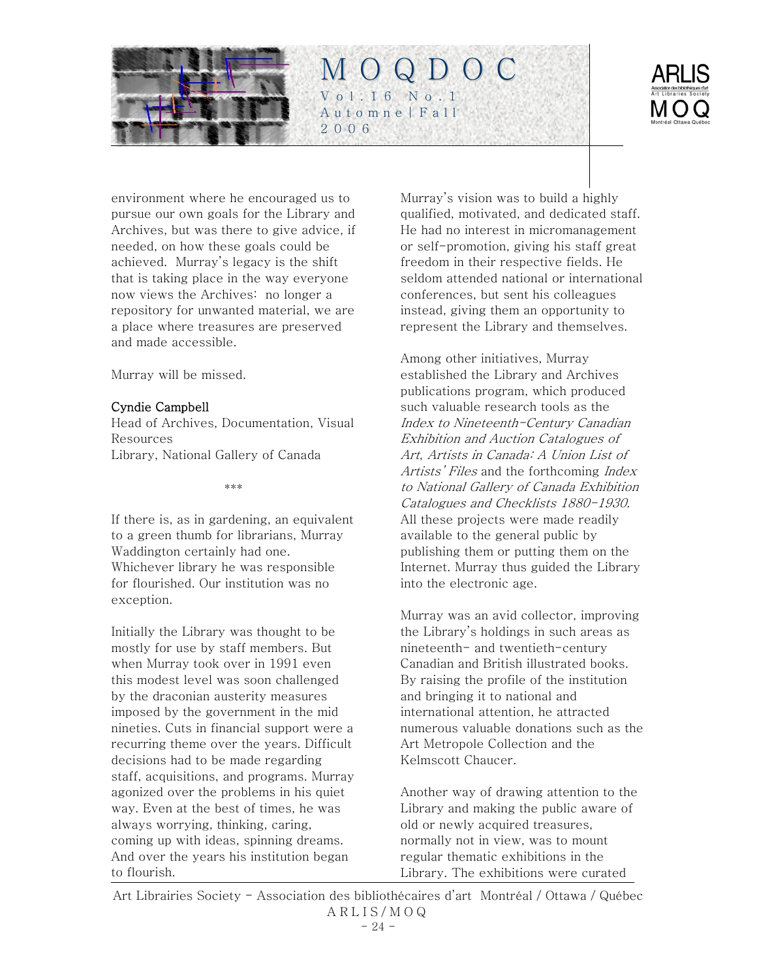



environment where he encouraged us to pursue our own goals for the Library and Archives, but was there to give advice, if needed, on how these goals could be achieved. Murray's legacy is the shift that is taking place in the way everyone now views the Archives: no longer a repository for unwanted material, we are a place where treasures are preserved and made accessible.

Murray will be missed.

#### Cyndie Campbell

Head of Archives, Documentation, Visual Resources Library, National Gallery of Canada

\*\*\*

If there is, as in gardening, an equivalent to a green thumb for librarians, Murray Waddington certainly had one. Whichever library he was responsible for flourished. Our institution was no exception.

Initially the Library was thought to be mostly for use by staff members. But when Murray took over in 1991 even this modest level was soon challenged by the draconian austerity measures imposed by the government in the mid nineties. Cuts in financial support were a recurring theme over the years. Difficult decisions had to be made regarding staff, acquisitions, and programs. Murray agonized over the problems in his quiet way. Even at the best of times, he was always worrying, thinking, caring, coming up with ideas, spinning dreams. And over the years his institution began to flourish.

Murray's vision was to build a highly qualified, motivated, and dedicated staff. He had no interest in micromanagement or self-promotion, giving his staff great freedom in their respective fields. He seldom attended national or international conferences, but sent his colleagues instead, giving them an opportunity to represent the Library and themselves.

Among other initiatives, Murray established the Library and Archives publications program, which produced such valuable research tools as the Index to Nineteenth-Century Canadian Exhibition and Auction Catalogues of Art, Artists in Canada: A Union List of Artists' Files and the forthcoming Index to National Gallery of Canada Exhibition Catalogues and Checklists 1880-1930. All these projects were made readily available to the general public by publishing them or putting them on the Internet. Murray thus guided the Library into the electronic age.

Murray was an avid collector, improving the Library's holdings in such areas as nineteenth- and twentieth-century Canadian and British illustrated books. By raising the profile of the institution and bringing it to national and international attention, he attracted numerous valuable donations such as the Art Metropole Collection and the Kelmscott Chaucer.

Another way of drawing attention to the Library and making the public aware of old or newly acquired treasures, normally not in view, was to mount regular thematic exhibitions in the Library. The exhibitions were curated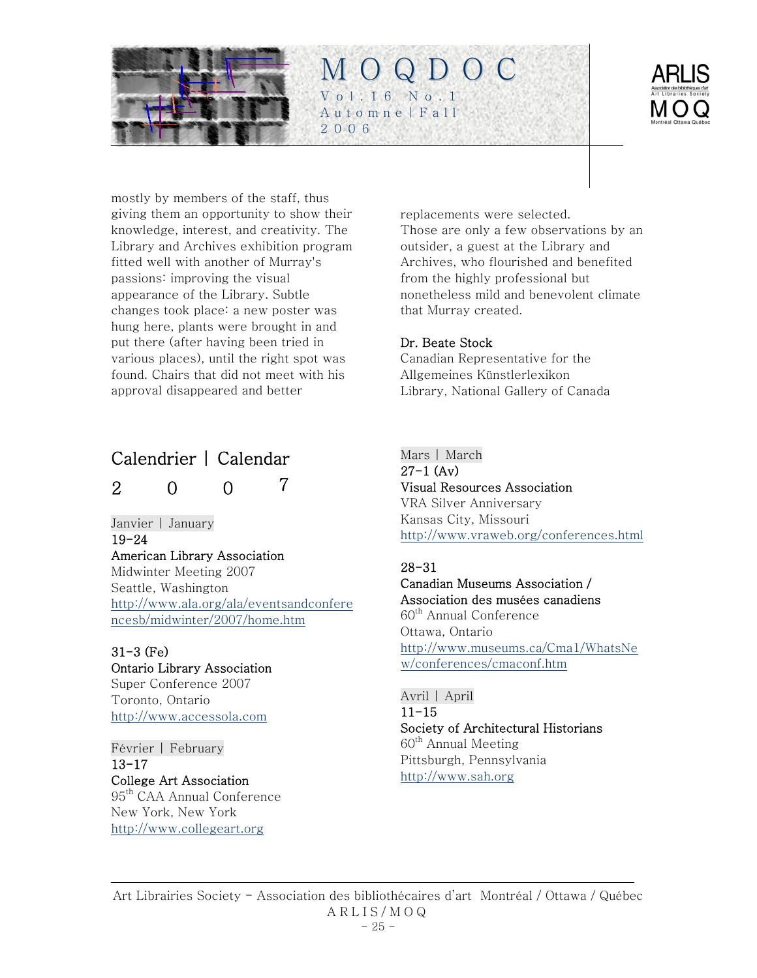<span id="page-24-0"></span>



mostly by members of the staff, thus giving them an opportunity to show their knowledge, interest, and creativity. The Library and Archives exhibition program fitted well with another of Murray's passions: improving the visual appearance of the Library. Subtle changes took place: a new poster was hung here, plants were brought in and put there (after having been tried in various places), until the right spot was found. Chairs that did not meet with his approval disappeared and better

# Calendrier | Calendar

200 7

#### Janvier | January 19-24 American Library Association Midwinter Meeting 2007 Seattle, Washington [http://www.ala.org/ala/eventsandconfere](http://www.ala.org/ala/eventsandconferencesb/midwinter/2007/home.htm)

[ncesb/midwinter/2007/home.htm](http://www.ala.org/ala/eventsandconferencesb/midwinter/2007/home.htm)

## 31-3 (Fe) Ontario Library Association Super Conference 2007

Toronto, Ontario [http://www.accessola.com](http://www.accessola.com/)

#### Février | February 13-17 College Art Association 95<sup>th</sup> CAA Annual Conference New York, New York [http://www.collegeart.org](http://www.collegeart.org/)

replacements were selected. Those are only a few observations by an outsider, a guest at the Library and Archives, who flourished and benefited from the highly professional but nonetheless mild and benevolent climate that Murray created.

### Dr. Beate Stock

Canadian Representative for the Allgemeines Künstlerlexikon Library, National Gallery of Canada

## Mars | March

27-1 (Av) Visual Resources Association VRA Silver Anniversary Kansas City, Missouri

<http://www.vraweb.org/conferences.html>

## 28-31

### Canadian Museums Association / Association des musées canadiens

60<sup>th</sup> Annual Conference Ottawa, Ontario [http://www.museums.ca/Cma1/WhatsNe](http://www.museums.ca/Cma1/WhatsNew/conferences/cmaconf.htm) [w/conferences/cmaconf.htm](http://www.museums.ca/Cma1/WhatsNew/conferences/cmaconf.htm)

#### Avril | April  $11 - 15$ Society of Architectural Historians  $60<sup>th</sup>$  Annual Meeting Pittsburgh, Pennsylvania [http://www.sah.org](http://www.sah.org/)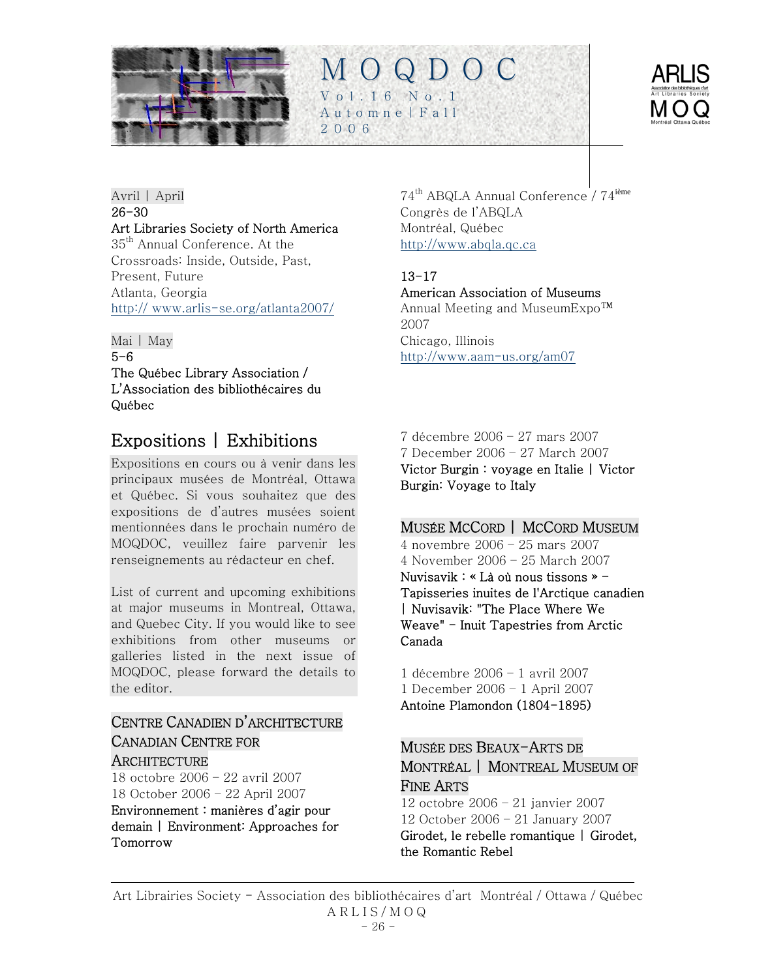<span id="page-25-0"></span>



Avril | April 26-30 Art Libraries Society of North America 35<sup>th</sup> Annual Conference. At the Crossroads: Inside, Outside, Past, Present, Future Atlanta, Georgia http:// [www.arlis-se.org/atlanta2007/](http://www.arlis-se.org/atlanta2007/)

Mai | May 5-6 The Québec Library Association / L'Association des bibliothécaires du Québec

# Expositions | Exhibitions

Expositions en cours ou à venir dans les principaux musées de Montréal, Ottawa et Québec. Si vous souhaitez que des expositions de d'autres musées soient mentionnées dans le prochain numéro de MOQDOC, veuillez faire parvenir les renseignements au rédacteur en chef.

List of current and upcoming exhibitions at major museums in Montreal, Ottawa, and Quebec City. If you would like to see exhibitions from other museums or galleries listed in the next issue of MOQDOC, please forward the details to the editor.

## CENTRE CANADIEN D'ARCHITECTURE CANADIAN CENTRE FOR **ARCHITECTURE**

18 octobre 2006 – 22 avril 2007 18 October 2006 – 22 April 2007

Environnement : manières d'agir pour demain | Environment: Approaches for Tomorrow

74th ABQLA Annual Conference / 74ième Congrès de l'ABQLA Montréal, Québec [http://www.abqla.qc.ca](http://www.abqla.qc.ca/)

## 13-17

M O Q D O C

Vol.16 No.1 Automne|Fall

2006

American Association of Museums

Annual Meeting and MuseumExpo™ 2007 Chicago, Illinois <http://www.aam-us.org/am07>

7 décembre 2006 – 27 mars 2007 7 December 2006 – 27 March 2007 Victor Burgin : voyage en Italie | Victor Burgin: Voyage to Italy

## MUSÉE MCCORD | MCCORD MUSEUM

4 novembre 2006 – 25 mars 2007 4 November 2006 – 25 March 2007 Nuvisavik : « Là où nous tissons » - Tapisseries inuites de l'Arctique canadien | Nuvisavik: "The Place Where We Weave" - Inuit Tapestries from Arctic Canada

1 décembre 2006 – 1 avril 2007 1 December 2006 – 1 April 2007 Antoine Plamondon (1804-1895)

## MUSÉE DES BEAUX-ARTS DE MONTRÉAL | MONTREAL MUSEUM OF FINE ARTS

12 octobre 2006 – 21 janvier 2007 12 October 2006 – 21 January 2007 Girodet, le rebelle romantique | Girodet, the Romantic Rebel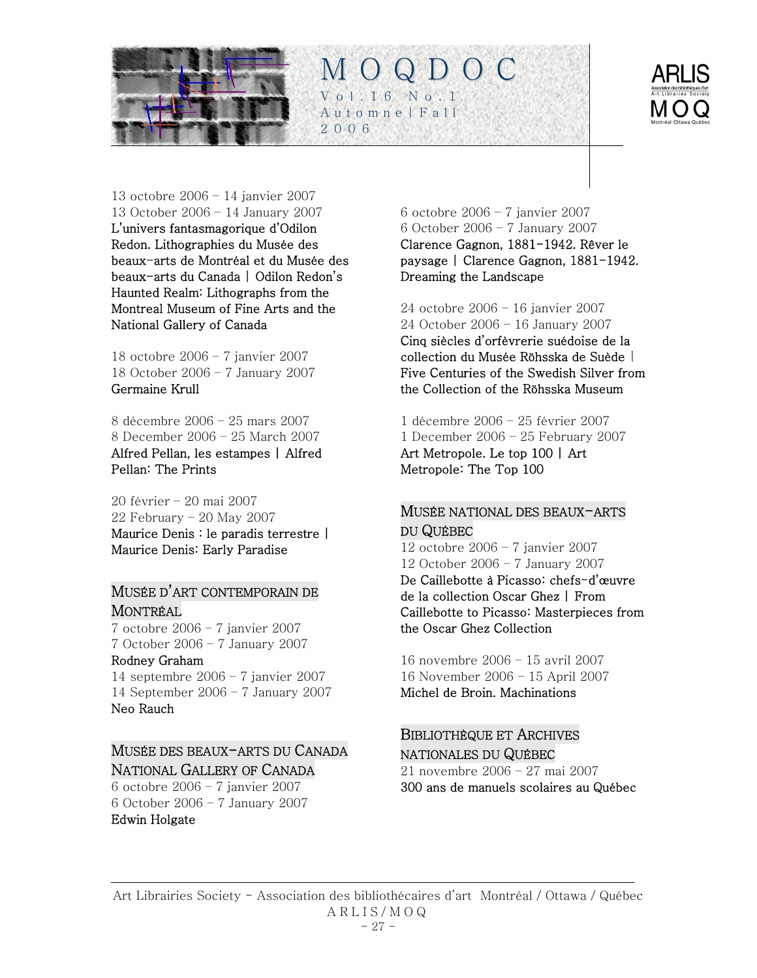



### 13 octobre 2006 – 14 janvier 2007

13 October 2006 – 14 January 2007 L'univers fantasmagorique d'Odilon Redon. Lithographies du Musée des beaux-arts de Montréal et du Musée des beaux-arts du Canada | Odilon Redon's Haunted Realm: Lithographs from the Montreal Museum of Fine Arts and the National Gallery of Canada

18 octobre 2006 – 7 janvier 2007 18 October 2006 – 7 January 2007 Germaine Krull

8 décembre 2006 – 25 mars 2007 8 December 2006 – 25 March 2007 Alfred Pellan, les estampes | Alfred Pellan: The Prints

20 février – 20 mai 2007 22 February – 20 May 2007 Maurice Denis : le paradis terrestre | Maurice Denis: Early Paradise

### MUSÉE D'ART CONTEMPORAIN DE MONTRÉAL

7 octobre 2006 – 7 janvier 2007 7 October 2006 – 7 January 2007

### Rodney Graham

14 septembre 2006 – 7 janvier 2007 14 September 2006 – 7 January 2007 Neo Rauch

## MUSÉE DES BEAUX-ARTS DU CANADA NATIONAL GALLERY OF CANADA

6 octobre 2006 – 7 janvier 2007 6 October 2006 – 7 January 2007 Edwin Holgate

6 octobre 2006 – 7 janvier 2007 6 October 2006 – 7 January 2007 Clarence Gagnon, 1881-1942. Rêver le paysage | Clarence Gagnon, 1881-1942. Dreaming the Landscape

24 octobre 2006 – 16 janvier 2007

24 October 2006 – 16 January 2007 Cinq siècles d'orfèvrerie suédoise de la collection du Musée Röhsska de Suède | Five Centuries of the Swedish Silver from the Collection of the Röhsska Museum

1 décembre 2006 – 25 février 2007 1 December 2006 – 25 February 2007 Art Metropole. Le top 100 | Art Metropole: The Top 100

### MUSÉE NATIONAL DES BEAUX-ARTS DU QUÉBEC

12 octobre 2006 – 7 janvier 2007 12 October 2006 – 7 January 2007 De Caillebotte à Picasso: chefs-d'œuvre de la collection Oscar Ghez | From Caillebotte to Picasso: Masterpieces from the Oscar Ghez Collection

16 novembre 2006 – 15 avril 2007 16 November 2006 – 15 April 2007 Michel de Broin. Machinations

### BIBLIOTHÈQUE ET ARCHIVES NATIONALES DU QUÉBEC 21 novembre 2006 – 27 mai 2007 300 ans de manuels scolaires au Québec